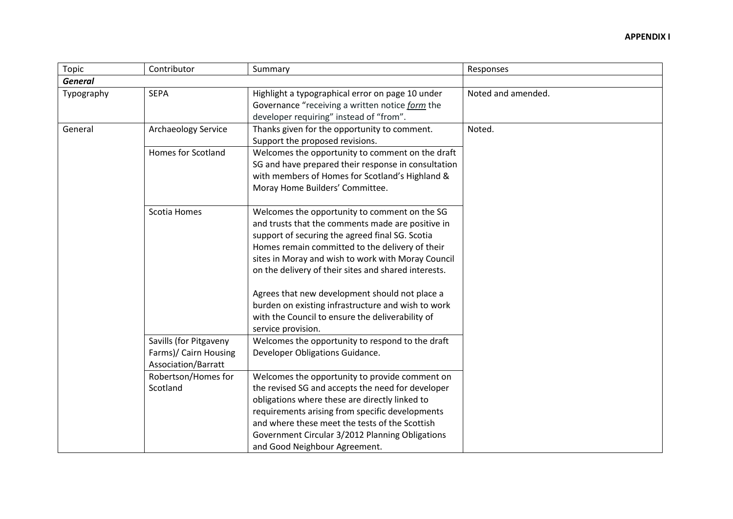| Topic          | Contributor                                                            | Summary                                                                                                                                                                                                                                                                                                                                                                                                                                                                                                  | Responses          |
|----------------|------------------------------------------------------------------------|----------------------------------------------------------------------------------------------------------------------------------------------------------------------------------------------------------------------------------------------------------------------------------------------------------------------------------------------------------------------------------------------------------------------------------------------------------------------------------------------------------|--------------------|
| <b>General</b> |                                                                        |                                                                                                                                                                                                                                                                                                                                                                                                                                                                                                          |                    |
| Typography     | <b>SEPA</b>                                                            | Highlight a typographical error on page 10 under<br>Governance "receiving a written notice form the<br>developer requiring" instead of "from".                                                                                                                                                                                                                                                                                                                                                           | Noted and amended. |
| General        | Archaeology Service                                                    | Thanks given for the opportunity to comment.<br>Support the proposed revisions.                                                                                                                                                                                                                                                                                                                                                                                                                          | Noted.             |
|                | Homes for Scotland                                                     | Welcomes the opportunity to comment on the draft<br>SG and have prepared their response in consultation<br>with members of Homes for Scotland's Highland &<br>Moray Home Builders' Committee.                                                                                                                                                                                                                                                                                                            |                    |
|                | Scotia Homes                                                           | Welcomes the opportunity to comment on the SG<br>and trusts that the comments made are positive in<br>support of securing the agreed final SG. Scotia<br>Homes remain committed to the delivery of their<br>sites in Moray and wish to work with Moray Council<br>on the delivery of their sites and shared interests.<br>Agrees that new development should not place a<br>burden on existing infrastructure and wish to work<br>with the Council to ensure the deliverability of<br>service provision. |                    |
|                | Savills (for Pitgaveny<br>Farms)/ Cairn Housing<br>Association/Barratt | Welcomes the opportunity to respond to the draft<br>Developer Obligations Guidance.                                                                                                                                                                                                                                                                                                                                                                                                                      |                    |
|                | Robertson/Homes for<br>Scotland                                        | Welcomes the opportunity to provide comment on<br>the revised SG and accepts the need for developer<br>obligations where these are directly linked to<br>requirements arising from specific developments<br>and where these meet the tests of the Scottish<br>Government Circular 3/2012 Planning Obligations<br>and Good Neighbour Agreement.                                                                                                                                                           |                    |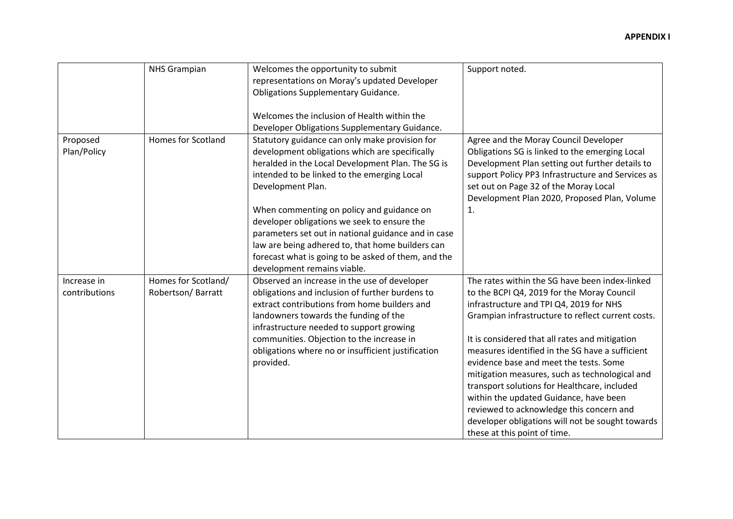|                              | <b>NHS Grampian</b>                      | Welcomes the opportunity to submit<br>representations on Moray's updated Developer<br><b>Obligations Supplementary Guidance.</b>                                                                                                                                                                                                                                                                                                                                                                                       | Support noted.                                                                                                                                                                                                                                                                                                                                                                                                                                                                                                                                                                                                          |
|------------------------------|------------------------------------------|------------------------------------------------------------------------------------------------------------------------------------------------------------------------------------------------------------------------------------------------------------------------------------------------------------------------------------------------------------------------------------------------------------------------------------------------------------------------------------------------------------------------|-------------------------------------------------------------------------------------------------------------------------------------------------------------------------------------------------------------------------------------------------------------------------------------------------------------------------------------------------------------------------------------------------------------------------------------------------------------------------------------------------------------------------------------------------------------------------------------------------------------------------|
|                              |                                          | Welcomes the inclusion of Health within the<br>Developer Obligations Supplementary Guidance.                                                                                                                                                                                                                                                                                                                                                                                                                           |                                                                                                                                                                                                                                                                                                                                                                                                                                                                                                                                                                                                                         |
| Proposed<br>Plan/Policy      | <b>Homes for Scotland</b>                | Statutory guidance can only make provision for<br>development obligations which are specifically<br>heralded in the Local Development Plan. The SG is<br>intended to be linked to the emerging Local<br>Development Plan.<br>When commenting on policy and guidance on<br>developer obligations we seek to ensure the<br>parameters set out in national guidance and in case<br>law are being adhered to, that home builders can<br>forecast what is going to be asked of them, and the<br>development remains viable. | Agree and the Moray Council Developer<br>Obligations SG is linked to the emerging Local<br>Development Plan setting out further details to<br>support Policy PP3 Infrastructure and Services as<br>set out on Page 32 of the Moray Local<br>Development Plan 2020, Proposed Plan, Volume<br>1.                                                                                                                                                                                                                                                                                                                          |
| Increase in<br>contributions | Homes for Scotland/<br>Robertson/Barratt | Observed an increase in the use of developer<br>obligations and inclusion of further burdens to<br>extract contributions from home builders and<br>landowners towards the funding of the<br>infrastructure needed to support growing<br>communities. Objection to the increase in<br>obligations where no or insufficient justification<br>provided.                                                                                                                                                                   | The rates within the SG have been index-linked<br>to the BCPI Q4, 2019 for the Moray Council<br>infrastructure and TPI Q4, 2019 for NHS<br>Grampian infrastructure to reflect current costs.<br>It is considered that all rates and mitigation<br>measures identified in the SG have a sufficient<br>evidence base and meet the tests. Some<br>mitigation measures, such as technological and<br>transport solutions for Healthcare, included<br>within the updated Guidance, have been<br>reviewed to acknowledge this concern and<br>developer obligations will not be sought towards<br>these at this point of time. |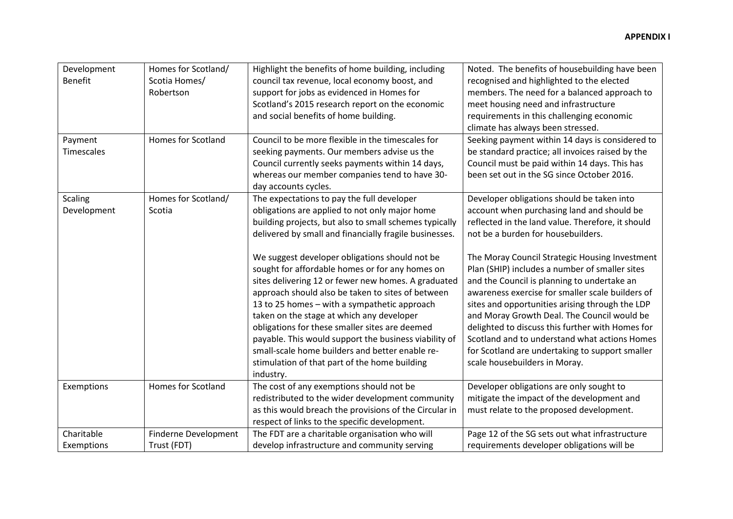| Development<br><b>Benefit</b> | Homes for Scotland/<br>Scotia Homes/<br>Robertson | Highlight the benefits of home building, including<br>council tax revenue, local economy boost, and<br>support for jobs as evidenced in Homes for<br>Scotland's 2015 research report on the economic<br>and social benefits of home building.                                                                                                                                                                                                                                                                                          | Noted. The benefits of housebuilding have been<br>recognised and highlighted to the elected<br>members. The need for a balanced approach to<br>meet housing need and infrastructure<br>requirements in this challenging economic<br>climate has always been stressed.                                                                                                                                                                                                                          |
|-------------------------------|---------------------------------------------------|----------------------------------------------------------------------------------------------------------------------------------------------------------------------------------------------------------------------------------------------------------------------------------------------------------------------------------------------------------------------------------------------------------------------------------------------------------------------------------------------------------------------------------------|------------------------------------------------------------------------------------------------------------------------------------------------------------------------------------------------------------------------------------------------------------------------------------------------------------------------------------------------------------------------------------------------------------------------------------------------------------------------------------------------|
| Payment<br>Timescales         | <b>Homes for Scotland</b>                         | Council to be more flexible in the timescales for<br>seeking payments. Our members advise us the<br>Council currently seeks payments within 14 days,<br>whereas our member companies tend to have 30-<br>day accounts cycles.                                                                                                                                                                                                                                                                                                          | Seeking payment within 14 days is considered to<br>be standard practice; all invoices raised by the<br>Council must be paid within 14 days. This has<br>been set out in the SG since October 2016.                                                                                                                                                                                                                                                                                             |
| <b>Scaling</b><br>Development | Homes for Scotland/<br>Scotia                     | The expectations to pay the full developer<br>obligations are applied to not only major home<br>building projects, but also to small schemes typically<br>delivered by small and financially fragile businesses.                                                                                                                                                                                                                                                                                                                       | Developer obligations should be taken into<br>account when purchasing land and should be<br>reflected in the land value. Therefore, it should<br>not be a burden for housebuilders.                                                                                                                                                                                                                                                                                                            |
|                               |                                                   | We suggest developer obligations should not be<br>sought for affordable homes or for any homes on<br>sites delivering 12 or fewer new homes. A graduated<br>approach should also be taken to sites of between<br>13 to 25 homes - with a sympathetic approach<br>taken on the stage at which any developer<br>obligations for these smaller sites are deemed<br>payable. This would support the business viability of<br>small-scale home builders and better enable re-<br>stimulation of that part of the home building<br>industry. | The Moray Council Strategic Housing Investment<br>Plan (SHIP) includes a number of smaller sites<br>and the Council is planning to undertake an<br>awareness exercise for smaller scale builders of<br>sites and opportunities arising through the LDP<br>and Moray Growth Deal. The Council would be<br>delighted to discuss this further with Homes for<br>Scotland and to understand what actions Homes<br>for Scotland are undertaking to support smaller<br>scale housebuilders in Moray. |
| Exemptions                    | <b>Homes for Scotland</b>                         | The cost of any exemptions should not be<br>redistributed to the wider development community<br>as this would breach the provisions of the Circular in<br>respect of links to the specific development.                                                                                                                                                                                                                                                                                                                                | Developer obligations are only sought to<br>mitigate the impact of the development and<br>must relate to the proposed development.                                                                                                                                                                                                                                                                                                                                                             |
| Charitable<br>Exemptions      | Finderne Development<br>Trust (FDT)               | The FDT are a charitable organisation who will<br>develop infrastructure and community serving                                                                                                                                                                                                                                                                                                                                                                                                                                         | Page 12 of the SG sets out what infrastructure<br>requirements developer obligations will be                                                                                                                                                                                                                                                                                                                                                                                                   |
|                               |                                                   |                                                                                                                                                                                                                                                                                                                                                                                                                                                                                                                                        |                                                                                                                                                                                                                                                                                                                                                                                                                                                                                                |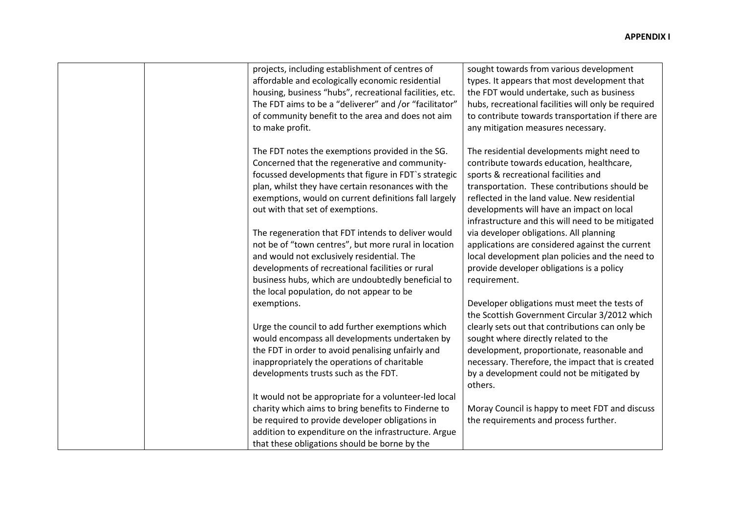| projects, including establishment of centres of<br>affordable and ecologically economic residential<br>housing, business "hubs", recreational facilities, etc.<br>The FDT aims to be a "deliverer" and /or "facilitator"<br>of community benefit to the area and does not aim<br>to make profit.                | sought towards from various development<br>types. It appears that most development that<br>the FDT would undertake, such as business<br>hubs, recreational facilities will only be required<br>to contribute towards transportation if there are<br>any mitigation measures necessary.                                                              |
|-----------------------------------------------------------------------------------------------------------------------------------------------------------------------------------------------------------------------------------------------------------------------------------------------------------------|-----------------------------------------------------------------------------------------------------------------------------------------------------------------------------------------------------------------------------------------------------------------------------------------------------------------------------------------------------|
| The FDT notes the exemptions provided in the SG.<br>Concerned that the regenerative and community-<br>focussed developments that figure in FDT's strategic<br>plan, whilst they have certain resonances with the<br>exemptions, would on current definitions fall largely<br>out with that set of exemptions.   | The residential developments might need to<br>contribute towards education, healthcare,<br>sports & recreational facilities and<br>transportation. These contributions should be<br>reflected in the land value. New residential<br>developments will have an impact on local<br>infrastructure and this will need to be mitigated                  |
| The regeneration that FDT intends to deliver would<br>not be of "town centres", but more rural in location<br>and would not exclusively residential. The<br>developments of recreational facilities or rural<br>business hubs, which are undoubtedly beneficial to<br>the local population, do not appear to be | via developer obligations. All planning<br>applications are considered against the current<br>local development plan policies and the need to<br>provide developer obligations is a policy<br>requirement.                                                                                                                                          |
| exemptions.<br>Urge the council to add further exemptions which<br>would encompass all developments undertaken by<br>the FDT in order to avoid penalising unfairly and<br>inappropriately the operations of charitable<br>developments trusts such as the FDT.                                                  | Developer obligations must meet the tests of<br>the Scottish Government Circular 3/2012 which<br>clearly sets out that contributions can only be<br>sought where directly related to the<br>development, proportionate, reasonable and<br>necessary. Therefore, the impact that is created<br>by a development could not be mitigated by<br>others. |
| It would not be appropriate for a volunteer-led local<br>charity which aims to bring benefits to Finderne to<br>be required to provide developer obligations in<br>addition to expenditure on the infrastructure. Argue<br>that these obligations should be borne by the                                        | Moray Council is happy to meet FDT and discuss<br>the requirements and process further.                                                                                                                                                                                                                                                             |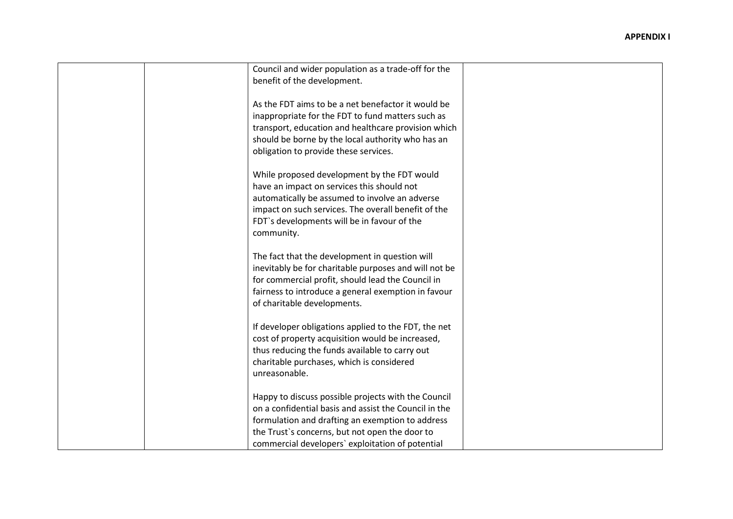| Council and wider population as a trade-off for the   |  |
|-------------------------------------------------------|--|
| benefit of the development.                           |  |
|                                                       |  |
| As the FDT aims to be a net benefactor it would be    |  |
| inappropriate for the FDT to fund matters such as     |  |
| transport, education and healthcare provision which   |  |
| should be borne by the local authority who has an     |  |
| obligation to provide these services.                 |  |
|                                                       |  |
|                                                       |  |
| While proposed development by the FDT would           |  |
| have an impact on services this should not            |  |
| automatically be assumed to involve an adverse        |  |
| impact on such services. The overall benefit of the   |  |
| FDT's developments will be in favour of the           |  |
| community.                                            |  |
|                                                       |  |
| The fact that the development in question will        |  |
| inevitably be for charitable purposes and will not be |  |
| for commercial profit, should lead the Council in     |  |
| fairness to introduce a general exemption in favour   |  |
| of charitable developments.                           |  |
|                                                       |  |
| If developer obligations applied to the FDT, the net  |  |
| cost of property acquisition would be increased,      |  |
| thus reducing the funds available to carry out        |  |
| charitable purchases, which is considered             |  |
|                                                       |  |
| unreasonable.                                         |  |
|                                                       |  |
| Happy to discuss possible projects with the Council   |  |
| on a confidential basis and assist the Council in the |  |
| formulation and drafting an exemption to address      |  |
| the Trust's concerns, but not open the door to        |  |
| commercial developers' exploitation of potential      |  |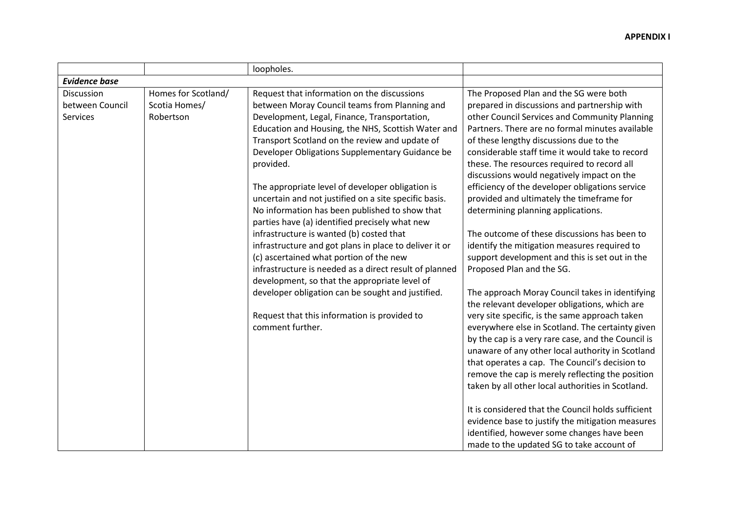|                                                                                                       | loopholes.                                                                                                                                                                                                                                                                                                                                                                                                                                                                                                                                                                                                                                                                                                                                                                                                                                                                                                                 |                                                                                                                                                                                                                                                                                                                                                                                                                                                                                                                                                                                                                                                                                                                                                                                                                                                                                                                                                                                                                                                                                                                                                                                                                                                                                                                                                                                                |
|-------------------------------------------------------------------------------------------------------|----------------------------------------------------------------------------------------------------------------------------------------------------------------------------------------------------------------------------------------------------------------------------------------------------------------------------------------------------------------------------------------------------------------------------------------------------------------------------------------------------------------------------------------------------------------------------------------------------------------------------------------------------------------------------------------------------------------------------------------------------------------------------------------------------------------------------------------------------------------------------------------------------------------------------|------------------------------------------------------------------------------------------------------------------------------------------------------------------------------------------------------------------------------------------------------------------------------------------------------------------------------------------------------------------------------------------------------------------------------------------------------------------------------------------------------------------------------------------------------------------------------------------------------------------------------------------------------------------------------------------------------------------------------------------------------------------------------------------------------------------------------------------------------------------------------------------------------------------------------------------------------------------------------------------------------------------------------------------------------------------------------------------------------------------------------------------------------------------------------------------------------------------------------------------------------------------------------------------------------------------------------------------------------------------------------------------------|
| <b>Evidence base</b>                                                                                  |                                                                                                                                                                                                                                                                                                                                                                                                                                                                                                                                                                                                                                                                                                                                                                                                                                                                                                                            |                                                                                                                                                                                                                                                                                                                                                                                                                                                                                                                                                                                                                                                                                                                                                                                                                                                                                                                                                                                                                                                                                                                                                                                                                                                                                                                                                                                                |
| Homes for Scotland/<br>Discussion<br>between Council<br>Scotia Homes/<br>Robertson<br><b>Services</b> | Request that information on the discussions<br>between Moray Council teams from Planning and<br>Development, Legal, Finance, Transportation,<br>Education and Housing, the NHS, Scottish Water and<br>Transport Scotland on the review and update of<br>Developer Obligations Supplementary Guidance be<br>provided.<br>The appropriate level of developer obligation is<br>uncertain and not justified on a site specific basis.<br>No information has been published to show that<br>parties have (a) identified precisely what new<br>infrastructure is wanted (b) costed that<br>infrastructure and got plans in place to deliver it or<br>(c) ascertained what portion of the new<br>infrastructure is needed as a direct result of planned<br>development, so that the appropriate level of<br>developer obligation can be sought and justified.<br>Request that this information is provided to<br>comment further. | The Proposed Plan and the SG were both<br>prepared in discussions and partnership with<br>other Council Services and Community Planning<br>Partners. There are no formal minutes available<br>of these lengthy discussions due to the<br>considerable staff time it would take to record<br>these. The resources required to record all<br>discussions would negatively impact on the<br>efficiency of the developer obligations service<br>provided and ultimately the timeframe for<br>determining planning applications.<br>The outcome of these discussions has been to<br>identify the mitigation measures required to<br>support development and this is set out in the<br>Proposed Plan and the SG.<br>The approach Moray Council takes in identifying<br>the relevant developer obligations, which are<br>very site specific, is the same approach taken<br>everywhere else in Scotland. The certainty given<br>by the cap is a very rare case, and the Council is<br>unaware of any other local authority in Scotland<br>that operates a cap. The Council's decision to<br>remove the cap is merely reflecting the position<br>taken by all other local authorities in Scotland.<br>It is considered that the Council holds sufficient<br>evidence base to justify the mitigation measures<br>identified, however some changes have been<br>made to the updated SG to take account of |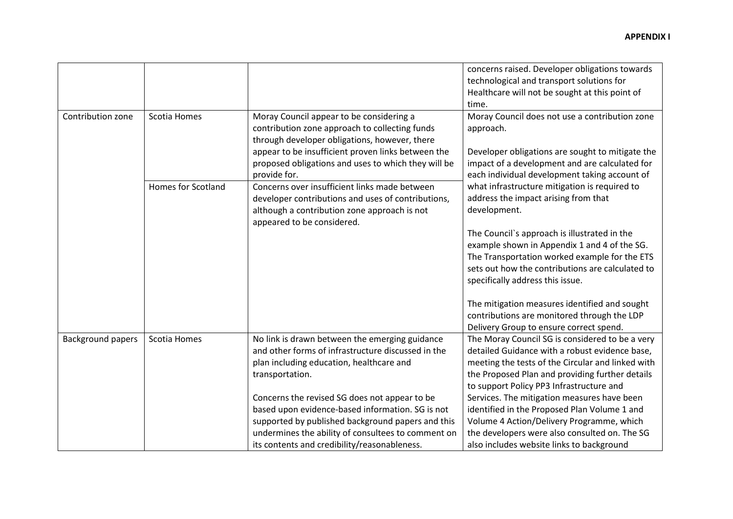|                          |                           |                                                     | concerns raised. Developer obligations towards    |
|--------------------------|---------------------------|-----------------------------------------------------|---------------------------------------------------|
|                          |                           |                                                     | technological and transport solutions for         |
|                          |                           |                                                     | Healthcare will not be sought at this point of    |
|                          |                           |                                                     | time.                                             |
| Contribution zone        | Scotia Homes              | Moray Council appear to be considering a            | Moray Council does not use a contribution zone    |
|                          |                           | contribution zone approach to collecting funds      | approach.                                         |
|                          |                           | through developer obligations, however, there       |                                                   |
|                          |                           | appear to be insufficient proven links between the  | Developer obligations are sought to mitigate the  |
|                          |                           | proposed obligations and uses to which they will be | impact of a development and are calculated for    |
|                          |                           | provide for.                                        | each individual development taking account of     |
|                          | <b>Homes for Scotland</b> | Concerns over insufficient links made between       | what infrastructure mitigation is required to     |
|                          |                           | developer contributions and uses of contributions,  | address the impact arising from that              |
|                          |                           | although a contribution zone approach is not        | development.                                      |
|                          |                           | appeared to be considered.                          |                                                   |
|                          |                           |                                                     | The Council's approach is illustrated in the      |
|                          |                           |                                                     | example shown in Appendix 1 and 4 of the SG.      |
|                          |                           |                                                     | The Transportation worked example for the ETS     |
|                          |                           |                                                     | sets out how the contributions are calculated to  |
|                          |                           |                                                     | specifically address this issue.                  |
|                          |                           |                                                     |                                                   |
|                          |                           |                                                     | The mitigation measures identified and sought     |
|                          |                           |                                                     | contributions are monitored through the LDP       |
|                          |                           |                                                     | Delivery Group to ensure correct spend.           |
| <b>Background papers</b> | Scotia Homes              | No link is drawn between the emerging guidance      | The Moray Council SG is considered to be a very   |
|                          |                           | and other forms of infrastructure discussed in the  | detailed Guidance with a robust evidence base,    |
|                          |                           | plan including education, healthcare and            | meeting the tests of the Circular and linked with |
|                          |                           | transportation.                                     | the Proposed Plan and providing further details   |
|                          |                           |                                                     | to support Policy PP3 Infrastructure and          |
|                          |                           | Concerns the revised SG does not appear to be       | Services. The mitigation measures have been       |
|                          |                           | based upon evidence-based information. SG is not    | identified in the Proposed Plan Volume 1 and      |
|                          |                           | supported by published background papers and this   | Volume 4 Action/Delivery Programme, which         |
|                          |                           | undermines the ability of consultees to comment on  | the developers were also consulted on. The SG     |
|                          |                           | its contents and credibility/reasonableness.        | also includes website links to background         |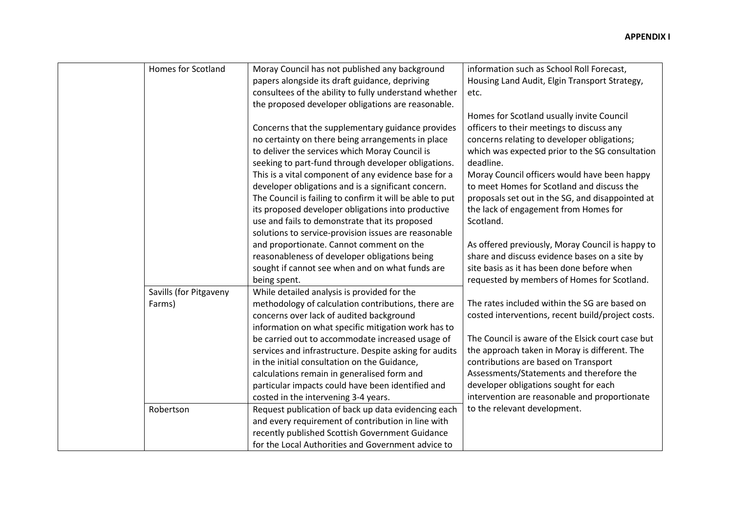| <b>Homes for Scotland</b> | Moray Council has not published any background           | information such as School Roll Forecast,         |
|---------------------------|----------------------------------------------------------|---------------------------------------------------|
|                           | papers alongside its draft guidance, depriving           | Housing Land Audit, Elgin Transport Strategy,     |
|                           | consultees of the ability to fully understand whether    | etc.                                              |
|                           | the proposed developer obligations are reasonable.       |                                                   |
|                           |                                                          | Homes for Scotland usually invite Council         |
|                           | Concerns that the supplementary guidance provides        | officers to their meetings to discuss any         |
|                           | no certainty on there being arrangements in place        | concerns relating to developer obligations;       |
|                           | to deliver the services which Moray Council is           | which was expected prior to the SG consultation   |
|                           | seeking to part-fund through developer obligations.      | deadline.                                         |
|                           | This is a vital component of any evidence base for a     | Moray Council officers would have been happy      |
|                           | developer obligations and is a significant concern.      | to meet Homes for Scotland and discuss the        |
|                           | The Council is failing to confirm it will be able to put | proposals set out in the SG, and disappointed at  |
|                           | its proposed developer obligations into productive       | the lack of engagement from Homes for             |
|                           | use and fails to demonstrate that its proposed           | Scotland.                                         |
|                           | solutions to service-provision issues are reasonable     |                                                   |
|                           | and proportionate. Cannot comment on the                 | As offered previously, Moray Council is happy to  |
|                           | reasonableness of developer obligations being            | share and discuss evidence bases on a site by     |
|                           | sought if cannot see when and on what funds are          | site basis as it has been done before when        |
|                           | being spent.                                             | requested by members of Homes for Scotland.       |
| Savills (for Pitgaveny    | While detailed analysis is provided for the              |                                                   |
| Farms)                    | methodology of calculation contributions, there are      | The rates included within the SG are based on     |
|                           | concerns over lack of audited background                 | costed interventions, recent build/project costs. |
|                           | information on what specific mitigation work has to      |                                                   |
|                           | be carried out to accommodate increased usage of         | The Council is aware of the Elsick court case but |
|                           | services and infrastructure. Despite asking for audits   | the approach taken in Moray is different. The     |
|                           | in the initial consultation on the Guidance,             | contributions are based on Transport              |
|                           | calculations remain in generalised form and              | Assessments/Statements and therefore the          |
|                           | particular impacts could have been identified and        | developer obligations sought for each             |
|                           | costed in the intervening 3-4 years.                     | intervention are reasonable and proportionate     |
| Robertson                 | Request publication of back up data evidencing each      | to the relevant development.                      |
|                           | and every requirement of contribution in line with       |                                                   |
|                           | recently published Scottish Government Guidance          |                                                   |
|                           | for the Local Authorities and Government advice to       |                                                   |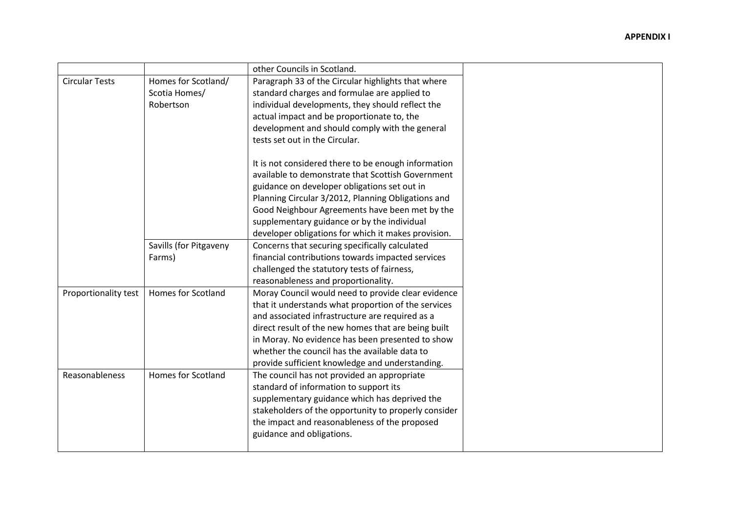|                       |                           | other Councils in Scotland.                          |
|-----------------------|---------------------------|------------------------------------------------------|
| <b>Circular Tests</b> | Homes for Scotland/       | Paragraph 33 of the Circular highlights that where   |
|                       | Scotia Homes/             | standard charges and formulae are applied to         |
|                       | Robertson                 | individual developments, they should reflect the     |
|                       |                           | actual impact and be proportionate to, the           |
|                       |                           | development and should comply with the general       |
|                       |                           | tests set out in the Circular.                       |
|                       |                           |                                                      |
|                       |                           | It is not considered there to be enough information  |
|                       |                           | available to demonstrate that Scottish Government    |
|                       |                           | guidance on developer obligations set out in         |
|                       |                           | Planning Circular 3/2012, Planning Obligations and   |
|                       |                           | Good Neighbour Agreements have been met by the       |
|                       |                           | supplementary guidance or by the individual          |
|                       |                           | developer obligations for which it makes provision.  |
|                       | Savills (for Pitgaveny    | Concerns that securing specifically calculated       |
|                       | Farms)                    | financial contributions towards impacted services    |
|                       |                           | challenged the statutory tests of fairness,          |
|                       |                           | reasonableness and proportionality.                  |
| Proportionality test  | <b>Homes for Scotland</b> | Moray Council would need to provide clear evidence   |
|                       |                           | that it understands what proportion of the services  |
|                       |                           | and associated infrastructure are required as a      |
|                       |                           | direct result of the new homes that are being built  |
|                       |                           | in Moray. No evidence has been presented to show     |
|                       |                           | whether the council has the available data to        |
|                       |                           | provide sufficient knowledge and understanding.      |
| <b>Reasonableness</b> | Homes for Scotland        | The council has not provided an appropriate          |
|                       |                           | standard of information to support its               |
|                       |                           | supplementary guidance which has deprived the        |
|                       |                           | stakeholders of the opportunity to properly consider |
|                       |                           | the impact and reasonableness of the proposed        |
|                       |                           | guidance and obligations.                            |
|                       |                           |                                                      |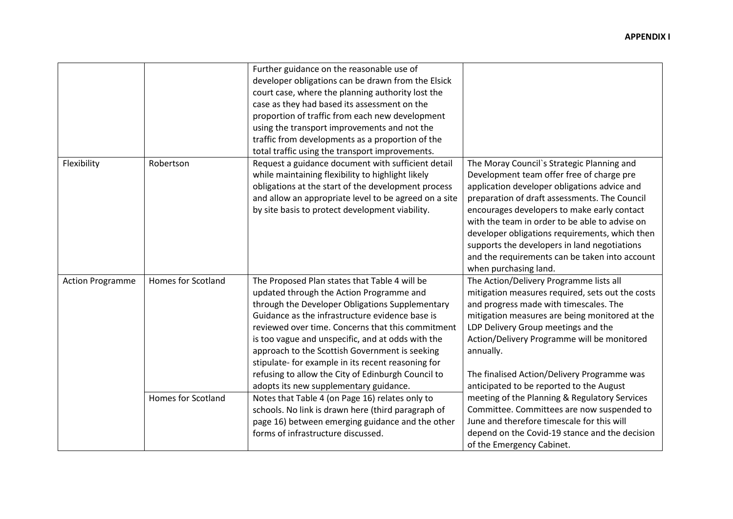|                         |                           | Further guidance on the reasonable use of<br>developer obligations can be drawn from the Elsick<br>court case, where the planning authority lost the<br>case as they had based its assessment on the<br>proportion of traffic from each new development<br>using the transport improvements and not the<br>traffic from developments as a proportion of the<br>total traffic using the transport improvements.                                                                                                    |                                                                                                                                                                                                                                                                                                                                                                                                                                                                        |
|-------------------------|---------------------------|-------------------------------------------------------------------------------------------------------------------------------------------------------------------------------------------------------------------------------------------------------------------------------------------------------------------------------------------------------------------------------------------------------------------------------------------------------------------------------------------------------------------|------------------------------------------------------------------------------------------------------------------------------------------------------------------------------------------------------------------------------------------------------------------------------------------------------------------------------------------------------------------------------------------------------------------------------------------------------------------------|
| Flexibility             | Robertson                 | Request a guidance document with sufficient detail<br>while maintaining flexibility to highlight likely<br>obligations at the start of the development process<br>and allow an appropriate level to be agreed on a site<br>by site basis to protect development viability.                                                                                                                                                                                                                                        | The Moray Council's Strategic Planning and<br>Development team offer free of charge pre<br>application developer obligations advice and<br>preparation of draft assessments. The Council<br>encourages developers to make early contact<br>with the team in order to be able to advise on<br>developer obligations requirements, which then<br>supports the developers in land negotiations<br>and the requirements can be taken into account<br>when purchasing land. |
| <b>Action Programme</b> | <b>Homes for Scotland</b> | The Proposed Plan states that Table 4 will be<br>updated through the Action Programme and<br>through the Developer Obligations Supplementary<br>Guidance as the infrastructure evidence base is<br>reviewed over time. Concerns that this commitment<br>is too vague and unspecific, and at odds with the<br>approach to the Scottish Government is seeking<br>stipulate- for example in its recent reasoning for<br>refusing to allow the City of Edinburgh Council to<br>adopts its new supplementary guidance. | The Action/Delivery Programme lists all<br>mitigation measures required, sets out the costs<br>and progress made with timescales. The<br>mitigation measures are being monitored at the<br>LDP Delivery Group meetings and the<br>Action/Delivery Programme will be monitored<br>annually.<br>The finalised Action/Delivery Programme was<br>anticipated to be reported to the August                                                                                  |
|                         | Homes for Scotland        | Notes that Table 4 (on Page 16) relates only to<br>schools. No link is drawn here (third paragraph of<br>page 16) between emerging guidance and the other<br>forms of infrastructure discussed.                                                                                                                                                                                                                                                                                                                   | meeting of the Planning & Regulatory Services<br>Committee. Committees are now suspended to<br>June and therefore timescale for this will<br>depend on the Covid-19 stance and the decision<br>of the Emergency Cabinet.                                                                                                                                                                                                                                               |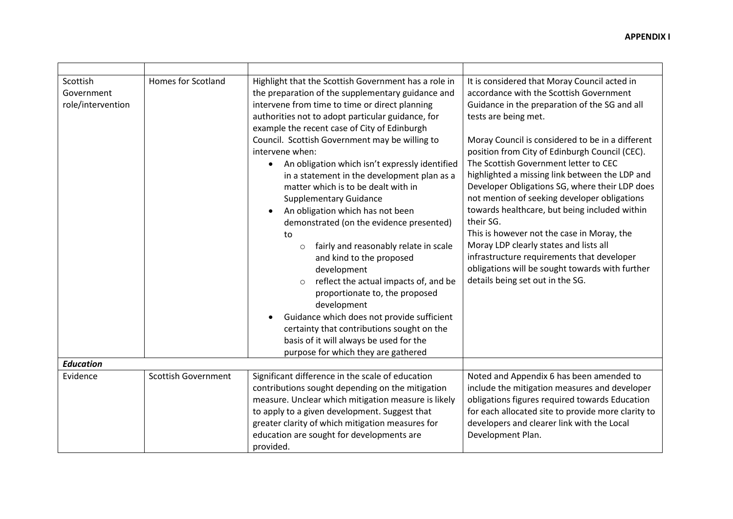| Scottish<br>Government<br>role/intervention | <b>Homes for Scotland</b>  | Highlight that the Scottish Government has a role in<br>the preparation of the supplementary guidance and<br>intervene from time to time or direct planning<br>authorities not to adopt particular guidance, for<br>example the recent case of City of Edinburgh<br>Council. Scottish Government may be willing to<br>intervene when:<br>An obligation which isn't expressly identified<br>$\bullet$<br>in a statement in the development plan as a<br>matter which is to be dealt with in<br><b>Supplementary Guidance</b><br>An obligation which has not been<br>demonstrated (on the evidence presented)<br>to<br>fairly and reasonably relate in scale<br>$\circ$<br>and kind to the proposed<br>development<br>reflect the actual impacts of, and be<br>proportionate to, the proposed<br>development<br>Guidance which does not provide sufficient<br>certainty that contributions sought on the<br>basis of it will always be used for the<br>purpose for which they are gathered | It is considered that Moray Council acted in<br>accordance with the Scottish Government<br>Guidance in the preparation of the SG and all<br>tests are being met.<br>Moray Council is considered to be in a different<br>position from City of Edinburgh Council (CEC).<br>The Scottish Government letter to CEC<br>highlighted a missing link between the LDP and<br>Developer Obligations SG, where their LDP does<br>not mention of seeking developer obligations<br>towards healthcare, but being included within<br>their SG.<br>This is however not the case in Moray, the<br>Moray LDP clearly states and lists all<br>infrastructure requirements that developer<br>obligations will be sought towards with further<br>details being set out in the SG. |
|---------------------------------------------|----------------------------|------------------------------------------------------------------------------------------------------------------------------------------------------------------------------------------------------------------------------------------------------------------------------------------------------------------------------------------------------------------------------------------------------------------------------------------------------------------------------------------------------------------------------------------------------------------------------------------------------------------------------------------------------------------------------------------------------------------------------------------------------------------------------------------------------------------------------------------------------------------------------------------------------------------------------------------------------------------------------------------|----------------------------------------------------------------------------------------------------------------------------------------------------------------------------------------------------------------------------------------------------------------------------------------------------------------------------------------------------------------------------------------------------------------------------------------------------------------------------------------------------------------------------------------------------------------------------------------------------------------------------------------------------------------------------------------------------------------------------------------------------------------|
| <b>Education</b>                            |                            |                                                                                                                                                                                                                                                                                                                                                                                                                                                                                                                                                                                                                                                                                                                                                                                                                                                                                                                                                                                          |                                                                                                                                                                                                                                                                                                                                                                                                                                                                                                                                                                                                                                                                                                                                                                |
| Evidence                                    | <b>Scottish Government</b> | Significant difference in the scale of education<br>contributions sought depending on the mitigation<br>measure. Unclear which mitigation measure is likely<br>to apply to a given development. Suggest that<br>greater clarity of which mitigation measures for<br>education are sought for developments are<br>provided.                                                                                                                                                                                                                                                                                                                                                                                                                                                                                                                                                                                                                                                               | Noted and Appendix 6 has been amended to<br>include the mitigation measures and developer<br>obligations figures required towards Education<br>for each allocated site to provide more clarity to<br>developers and clearer link with the Local<br>Development Plan.                                                                                                                                                                                                                                                                                                                                                                                                                                                                                           |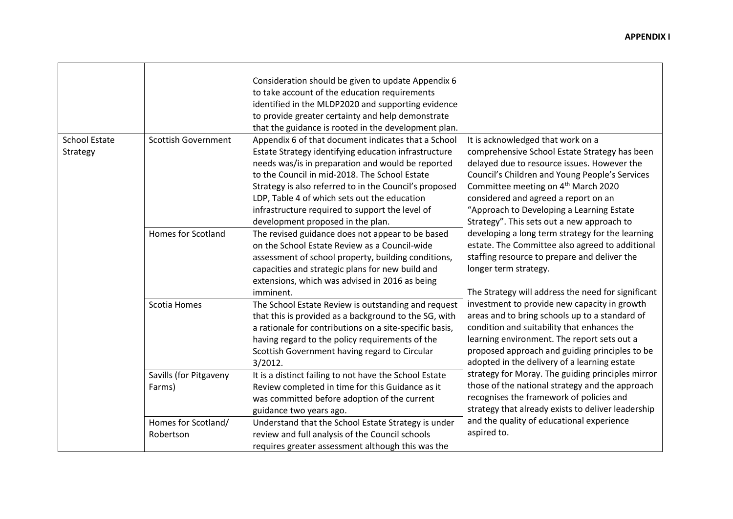|                                  |                                  | Consideration should be given to update Appendix 6<br>to take account of the education requirements<br>identified in the MLDP2020 and supporting evidence<br>to provide greater certainty and help demonstrate<br>that the guidance is rooted in the development plan.                                                                                                                                              |                                                                                                                                                                                                                                                                                                                                                                           |
|----------------------------------|----------------------------------|---------------------------------------------------------------------------------------------------------------------------------------------------------------------------------------------------------------------------------------------------------------------------------------------------------------------------------------------------------------------------------------------------------------------|---------------------------------------------------------------------------------------------------------------------------------------------------------------------------------------------------------------------------------------------------------------------------------------------------------------------------------------------------------------------------|
| <b>School Estate</b><br>Strategy | <b>Scottish Government</b>       | Appendix 6 of that document indicates that a School<br>Estate Strategy identifying education infrastructure<br>needs was/is in preparation and would be reported<br>to the Council in mid-2018. The School Estate<br>Strategy is also referred to in the Council's proposed<br>LDP, Table 4 of which sets out the education<br>infrastructure required to support the level of<br>development proposed in the plan. | It is acknowledged that work on a<br>comprehensive School Estate Strategy has been<br>delayed due to resource issues. However the<br>Council's Children and Young People's Services<br>Committee meeting on 4 <sup>th</sup> March 2020<br>considered and agreed a report on an<br>"Approach to Developing a Learning Estate<br>Strategy". This sets out a new approach to |
|                                  | <b>Homes for Scotland</b>        | The revised guidance does not appear to be based<br>on the School Estate Review as a Council-wide<br>assessment of school property, building conditions,<br>capacities and strategic plans for new build and<br>extensions, which was advised in 2016 as being<br>imminent.                                                                                                                                         | developing a long term strategy for the learning<br>estate. The Committee also agreed to additional<br>staffing resource to prepare and deliver the<br>longer term strategy.<br>The Strategy will address the need for significant                                                                                                                                        |
|                                  | Scotia Homes                     | The School Estate Review is outstanding and request<br>that this is provided as a background to the SG, with<br>a rationale for contributions on a site-specific basis,<br>having regard to the policy requirements of the<br>Scottish Government having regard to Circular<br>$3/2012$ .                                                                                                                           | investment to provide new capacity in growth<br>areas and to bring schools up to a standard of<br>condition and suitability that enhances the<br>learning environment. The report sets out a<br>proposed approach and guiding principles to be<br>adopted in the delivery of a learning estate                                                                            |
|                                  | Savills (for Pitgaveny<br>Farms) | It is a distinct failing to not have the School Estate<br>Review completed in time for this Guidance as it<br>was committed before adoption of the current<br>guidance two years ago.                                                                                                                                                                                                                               | strategy for Moray. The guiding principles mirror<br>those of the national strategy and the approach<br>recognises the framework of policies and<br>strategy that already exists to deliver leadership                                                                                                                                                                    |
|                                  | Homes for Scotland/<br>Robertson | Understand that the School Estate Strategy is under<br>review and full analysis of the Council schools<br>requires greater assessment although this was the                                                                                                                                                                                                                                                         | and the quality of educational experience<br>aspired to.                                                                                                                                                                                                                                                                                                                  |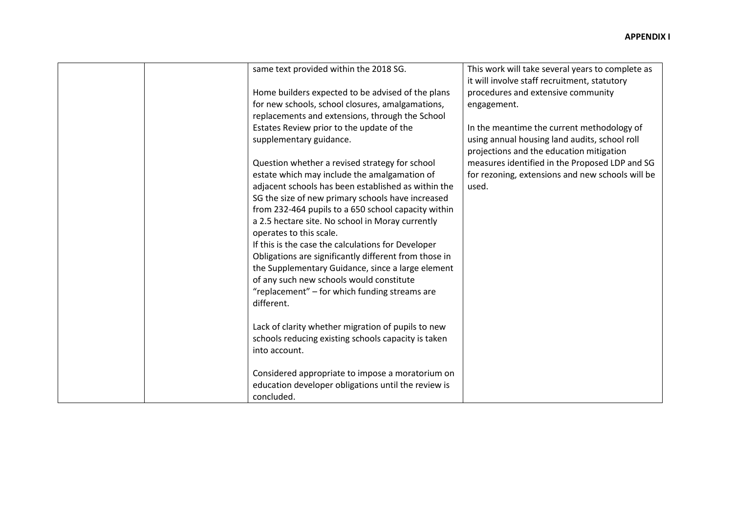|  | same text provided within the 2018 SG.                | This work will take several years to complete as |
|--|-------------------------------------------------------|--------------------------------------------------|
|  |                                                       | it will involve staff recruitment, statutory     |
|  | Home builders expected to be advised of the plans     | procedures and extensive community               |
|  | for new schools, school closures, amalgamations,      | engagement.                                      |
|  | replacements and extensions, through the School       |                                                  |
|  | Estates Review prior to the update of the             | In the meantime the current methodology of       |
|  | supplementary guidance.                               | using annual housing land audits, school roll    |
|  |                                                       | projections and the education mitigation         |
|  | Question whether a revised strategy for school        | measures identified in the Proposed LDP and SG   |
|  | estate which may include the amalgamation of          | for rezoning, extensions and new schools will be |
|  | adjacent schools has been established as within the   | used.                                            |
|  | SG the size of new primary schools have increased     |                                                  |
|  | from 232-464 pupils to a 650 school capacity within   |                                                  |
|  | a 2.5 hectare site. No school in Moray currently      |                                                  |
|  |                                                       |                                                  |
|  | operates to this scale.                               |                                                  |
|  | If this is the case the calculations for Developer    |                                                  |
|  | Obligations are significantly different from those in |                                                  |
|  | the Supplementary Guidance, since a large element     |                                                  |
|  | of any such new schools would constitute              |                                                  |
|  | "replacement" - for which funding streams are         |                                                  |
|  | different.                                            |                                                  |
|  |                                                       |                                                  |
|  | Lack of clarity whether migration of pupils to new    |                                                  |
|  | schools reducing existing schools capacity is taken   |                                                  |
|  | into account.                                         |                                                  |
|  |                                                       |                                                  |
|  | Considered appropriate to impose a moratorium on      |                                                  |
|  | education developer obligations until the review is   |                                                  |
|  | concluded.                                            |                                                  |
|  |                                                       |                                                  |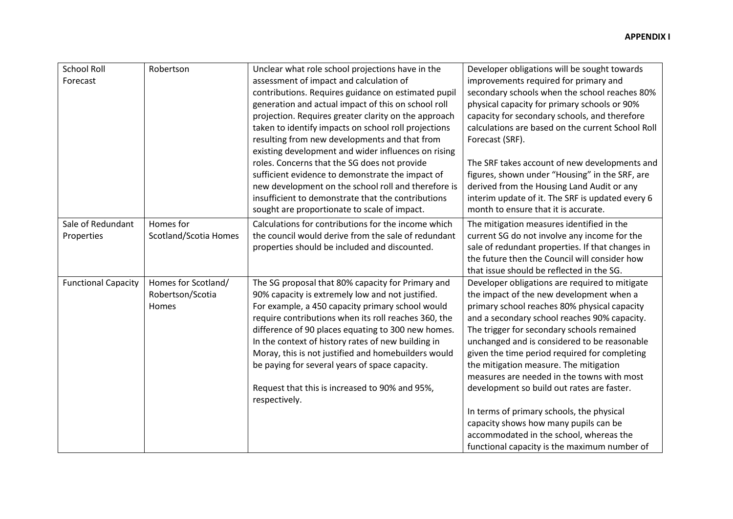| <b>School Roll</b>         | Robertson             | Unclear what role school projections have in the     | Developer obligations will be sought towards      |
|----------------------------|-----------------------|------------------------------------------------------|---------------------------------------------------|
| Forecast                   |                       | assessment of impact and calculation of              | improvements required for primary and             |
|                            |                       | contributions. Requires guidance on estimated pupil  | secondary schools when the school reaches 80%     |
|                            |                       | generation and actual impact of this on school roll  | physical capacity for primary schools or 90%      |
|                            |                       | projection. Requires greater clarity on the approach | capacity for secondary schools, and therefore     |
|                            |                       | taken to identify impacts on school roll projections | calculations are based on the current School Roll |
|                            |                       | resulting from new developments and that from        | Forecast (SRF).                                   |
|                            |                       | existing development and wider influences on rising  |                                                   |
|                            |                       | roles. Concerns that the SG does not provide         | The SRF takes account of new developments and     |
|                            |                       | sufficient evidence to demonstrate the impact of     | figures, shown under "Housing" in the SRF, are    |
|                            |                       | new development on the school roll and therefore is  | derived from the Housing Land Audit or any        |
|                            |                       | insufficient to demonstrate that the contributions   | interim update of it. The SRF is updated every 6  |
|                            |                       | sought are proportionate to scale of impact.         | month to ensure that it is accurate.              |
| Sale of Redundant          | Homes for             | Calculations for contributions for the income which  | The mitigation measures identified in the         |
| Properties                 | Scotland/Scotia Homes | the council would derive from the sale of redundant  | current SG do not involve any income for the      |
|                            |                       | properties should be included and discounted.        | sale of redundant properties. If that changes in  |
|                            |                       |                                                      | the future then the Council will consider how     |
|                            |                       |                                                      | that issue should be reflected in the SG.         |
| <b>Functional Capacity</b> | Homes for Scotland/   | The SG proposal that 80% capacity for Primary and    | Developer obligations are required to mitigate    |
|                            | Robertson/Scotia      | 90% capacity is extremely low and not justified.     | the impact of the new development when a          |
|                            | Homes                 | For example, a 450 capacity primary school would     | primary school reaches 80% physical capacity      |
|                            |                       | require contributions when its roll reaches 360, the | and a secondary school reaches 90% capacity.      |
|                            |                       | difference of 90 places equating to 300 new homes.   | The trigger for secondary schools remained        |
|                            |                       | In the context of history rates of new building in   | unchanged and is considered to be reasonable      |
|                            |                       | Moray, this is not justified and homebuilders would  | given the time period required for completing     |
|                            |                       | be paying for several years of space capacity.       | the mitigation measure. The mitigation            |
|                            |                       |                                                      | measures are needed in the towns with most        |
|                            |                       | Request that this is increased to 90% and 95%,       | development so build out rates are faster.        |
|                            |                       | respectively.                                        |                                                   |
|                            |                       |                                                      | In terms of primary schools, the physical         |
|                            |                       |                                                      | capacity shows how many pupils can be             |
|                            |                       |                                                      | accommodated in the school, whereas the           |
|                            |                       |                                                      | functional capacity is the maximum number of      |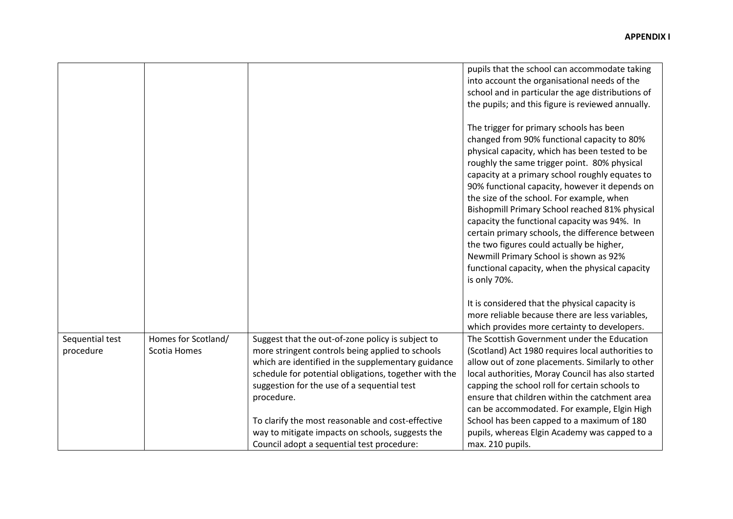|                              |                                     |                                                                                                                                                                                                                                                                                                                                        | pupils that the school can accommodate taking<br>into account the organisational needs of the<br>school and in particular the age distributions of<br>the pupils; and this figure is reviewed annually.<br>The trigger for primary schools has been<br>changed from 90% functional capacity to 80%<br>physical capacity, which has been tested to be<br>roughly the same trigger point. 80% physical<br>capacity at a primary school roughly equates to<br>90% functional capacity, however it depends on<br>the size of the school. For example, when<br>Bishopmill Primary School reached 81% physical<br>capacity the functional capacity was 94%. In<br>certain primary schools, the difference between<br>the two figures could actually be higher,<br>Newmill Primary School is shown as 92%<br>functional capacity, when the physical capacity<br>is only 70%. |
|------------------------------|-------------------------------------|----------------------------------------------------------------------------------------------------------------------------------------------------------------------------------------------------------------------------------------------------------------------------------------------------------------------------------------|-----------------------------------------------------------------------------------------------------------------------------------------------------------------------------------------------------------------------------------------------------------------------------------------------------------------------------------------------------------------------------------------------------------------------------------------------------------------------------------------------------------------------------------------------------------------------------------------------------------------------------------------------------------------------------------------------------------------------------------------------------------------------------------------------------------------------------------------------------------------------|
|                              |                                     |                                                                                                                                                                                                                                                                                                                                        | It is considered that the physical capacity is<br>more reliable because there are less variables,<br>which provides more certainty to developers.                                                                                                                                                                                                                                                                                                                                                                                                                                                                                                                                                                                                                                                                                                                     |
| Sequential test<br>procedure | Homes for Scotland/<br>Scotia Homes | Suggest that the out-of-zone policy is subject to<br>more stringent controls being applied to schools<br>which are identified in the supplementary guidance<br>schedule for potential obligations, together with the<br>suggestion for the use of a sequential test<br>procedure.<br>To clarify the most reasonable and cost-effective | The Scottish Government under the Education<br>(Scotland) Act 1980 requires local authorities to<br>allow out of zone placements. Similarly to other<br>local authorities, Moray Council has also started<br>capping the school roll for certain schools to<br>ensure that children within the catchment area<br>can be accommodated. For example, Elgin High<br>School has been capped to a maximum of 180                                                                                                                                                                                                                                                                                                                                                                                                                                                           |
|                              |                                     | way to mitigate impacts on schools, suggests the<br>Council adopt a sequential test procedure:                                                                                                                                                                                                                                         | pupils, whereas Elgin Academy was capped to a<br>max. 210 pupils.                                                                                                                                                                                                                                                                                                                                                                                                                                                                                                                                                                                                                                                                                                                                                                                                     |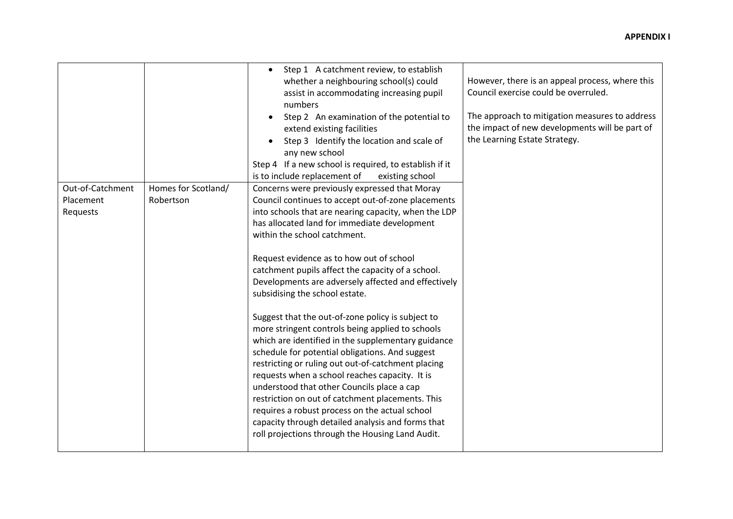|                                           |                                  | Step 1 A catchment review, to establish<br>$\bullet$<br>whether a neighbouring school(s) could<br>assist in accommodating increasing pupil<br>numbers<br>Step 2 An examination of the potential to<br>extend existing facilities<br>Step 3 Identify the location and scale of<br>any new school<br>Step 4 If a new school is required, to establish if it<br>is to include replacement of<br>existing school                                                                                                                                                                                                                                                                                                                                                                                                                                                                                                                                                                                                                 | However, there is an appeal process, where this<br>Council exercise could be overruled.<br>The approach to mitigation measures to address<br>the impact of new developments will be part of<br>the Learning Estate Strategy. |
|-------------------------------------------|----------------------------------|------------------------------------------------------------------------------------------------------------------------------------------------------------------------------------------------------------------------------------------------------------------------------------------------------------------------------------------------------------------------------------------------------------------------------------------------------------------------------------------------------------------------------------------------------------------------------------------------------------------------------------------------------------------------------------------------------------------------------------------------------------------------------------------------------------------------------------------------------------------------------------------------------------------------------------------------------------------------------------------------------------------------------|------------------------------------------------------------------------------------------------------------------------------------------------------------------------------------------------------------------------------|
| Out-of-Catchment<br>Placement<br>Requests | Homes for Scotland/<br>Robertson | Concerns were previously expressed that Moray<br>Council continues to accept out-of-zone placements<br>into schools that are nearing capacity, when the LDP<br>has allocated land for immediate development<br>within the school catchment.<br>Request evidence as to how out of school<br>catchment pupils affect the capacity of a school.<br>Developments are adversely affected and effectively<br>subsidising the school estate.<br>Suggest that the out-of-zone policy is subject to<br>more stringent controls being applied to schools<br>which are identified in the supplementary guidance<br>schedule for potential obligations. And suggest<br>restricting or ruling out out-of-catchment placing<br>requests when a school reaches capacity. It is<br>understood that other Councils place a cap<br>restriction on out of catchment placements. This<br>requires a robust process on the actual school<br>capacity through detailed analysis and forms that<br>roll projections through the Housing Land Audit. |                                                                                                                                                                                                                              |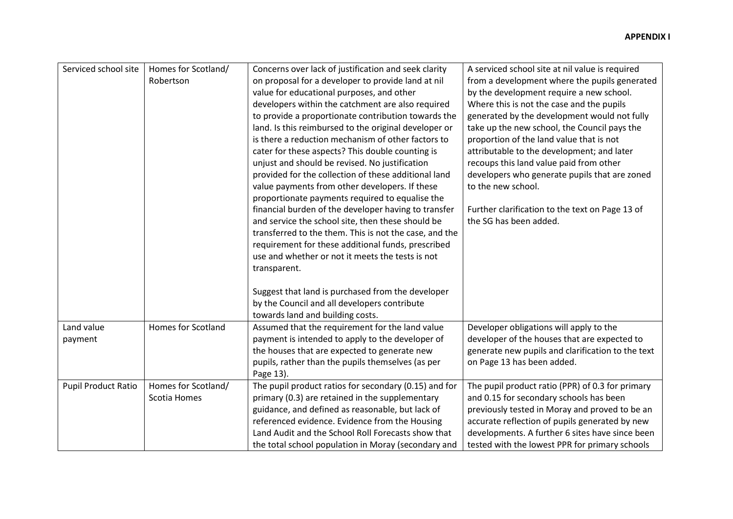| Serviced school site<br>Homes for Scotland/       | Concerns over lack of justification and seek clarity                                                 | A serviced school site at nil value is required                                                   |
|---------------------------------------------------|------------------------------------------------------------------------------------------------------|---------------------------------------------------------------------------------------------------|
| Robertson                                         | on proposal for a developer to provide land at nil                                                   | from a development where the pupils generated                                                     |
|                                                   | value for educational purposes, and other                                                            | by the development require a new school.                                                          |
|                                                   | developers within the catchment are also required                                                    | Where this is not the case and the pupils                                                         |
|                                                   |                                                                                                      |                                                                                                   |
|                                                   | to provide a proportionate contribution towards the                                                  | generated by the development would not fully                                                      |
|                                                   | land. Is this reimbursed to the original developer or                                                | take up the new school, the Council pays the                                                      |
|                                                   | is there a reduction mechanism of other factors to                                                   | proportion of the land value that is not                                                          |
|                                                   | cater for these aspects? This double counting is                                                     | attributable to the development; and later                                                        |
|                                                   | unjust and should be revised. No justification                                                       | recoups this land value paid from other                                                           |
|                                                   | provided for the collection of these additional land                                                 | developers who generate pupils that are zoned                                                     |
|                                                   | value payments from other developers. If these                                                       | to the new school.                                                                                |
|                                                   | proportionate payments required to equalise the                                                      |                                                                                                   |
|                                                   | financial burden of the developer having to transfer                                                 | Further clarification to the text on Page 13 of                                                   |
|                                                   | and service the school site, then these should be                                                    | the SG has been added.                                                                            |
|                                                   | transferred to the them. This is not the case, and the                                               |                                                                                                   |
|                                                   | requirement for these additional funds, prescribed                                                   |                                                                                                   |
|                                                   | use and whether or not it meets the tests is not                                                     |                                                                                                   |
|                                                   | transparent.                                                                                         |                                                                                                   |
|                                                   |                                                                                                      |                                                                                                   |
|                                                   | Suggest that land is purchased from the developer                                                    |                                                                                                   |
|                                                   | by the Council and all developers contribute                                                         |                                                                                                   |
|                                                   | towards land and building costs.                                                                     |                                                                                                   |
| Homes for Scotland<br>Land value                  | Assumed that the requirement for the land value                                                      | Developer obligations will apply to the                                                           |
| payment                                           | payment is intended to apply to the developer of                                                     | developer of the houses that are expected to                                                      |
|                                                   | the houses that are expected to generate new                                                         | generate new pupils and clarification to the text                                                 |
|                                                   | pupils, rather than the pupils themselves (as per                                                    | on Page 13 has been added.                                                                        |
|                                                   | Page 13).                                                                                            |                                                                                                   |
| <b>Pupil Product Ratio</b><br>Homes for Scotland/ | The pupil product ratios for secondary (0.15) and for                                                | The pupil product ratio (PPR) of 0.3 for primary                                                  |
| Scotia Homes                                      | primary (0.3) are retained in the supplementary                                                      | and 0.15 for secondary schools has been                                                           |
|                                                   | guidance, and defined as reasonable, but lack of                                                     | previously tested in Moray and proved to be an                                                    |
|                                                   |                                                                                                      |                                                                                                   |
|                                                   |                                                                                                      |                                                                                                   |
|                                                   | referenced evidence. Evidence from the Housing<br>Land Audit and the School Roll Forecasts show that | accurate reflection of pupils generated by new<br>developments. A further 6 sites have since been |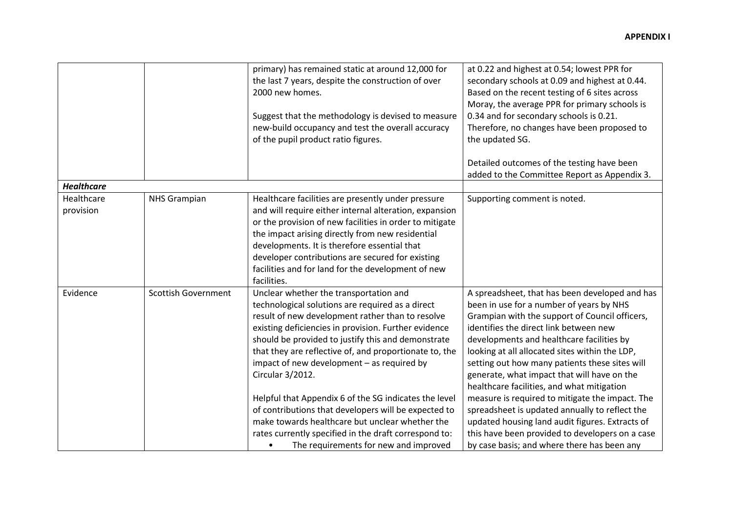|                         |                            | primary) has remained static at around 12,000 for<br>the last 7 years, despite the construction of over<br>2000 new homes.<br>Suggest that the methodology is devised to measure<br>new-build occupancy and test the overall accuracy<br>of the pupil product ratio figures.                                                                                                                                                                                                                                                                                                                                                                                        | at 0.22 and highest at 0.54; lowest PPR for<br>secondary schools at 0.09 and highest at 0.44.<br>Based on the recent testing of 6 sites across<br>Moray, the average PPR for primary schools is<br>0.34 and for secondary schools is 0.21.<br>Therefore, no changes have been proposed to<br>the updated SG.                                                                                                                                                                                                                                                                                                                                                                                   |
|-------------------------|----------------------------|---------------------------------------------------------------------------------------------------------------------------------------------------------------------------------------------------------------------------------------------------------------------------------------------------------------------------------------------------------------------------------------------------------------------------------------------------------------------------------------------------------------------------------------------------------------------------------------------------------------------------------------------------------------------|------------------------------------------------------------------------------------------------------------------------------------------------------------------------------------------------------------------------------------------------------------------------------------------------------------------------------------------------------------------------------------------------------------------------------------------------------------------------------------------------------------------------------------------------------------------------------------------------------------------------------------------------------------------------------------------------|
|                         |                            |                                                                                                                                                                                                                                                                                                                                                                                                                                                                                                                                                                                                                                                                     | Detailed outcomes of the testing have been                                                                                                                                                                                                                                                                                                                                                                                                                                                                                                                                                                                                                                                     |
|                         |                            |                                                                                                                                                                                                                                                                                                                                                                                                                                                                                                                                                                                                                                                                     | added to the Committee Report as Appendix 3.                                                                                                                                                                                                                                                                                                                                                                                                                                                                                                                                                                                                                                                   |
| <b>Healthcare</b>       |                            |                                                                                                                                                                                                                                                                                                                                                                                                                                                                                                                                                                                                                                                                     |                                                                                                                                                                                                                                                                                                                                                                                                                                                                                                                                                                                                                                                                                                |
| Healthcare<br>provision | <b>NHS Grampian</b>        | Healthcare facilities are presently under pressure<br>and will require either internal alteration, expansion<br>or the provision of new facilities in order to mitigate<br>the impact arising directly from new residential<br>developments. It is therefore essential that<br>developer contributions are secured for existing<br>facilities and for land for the development of new<br>facilities.                                                                                                                                                                                                                                                                | Supporting comment is noted.                                                                                                                                                                                                                                                                                                                                                                                                                                                                                                                                                                                                                                                                   |
| Evidence                | <b>Scottish Government</b> | Unclear whether the transportation and<br>technological solutions are required as a direct<br>result of new development rather than to resolve<br>existing deficiencies in provision. Further evidence<br>should be provided to justify this and demonstrate<br>that they are reflective of, and proportionate to, the<br>impact of new development - as required by<br>Circular 3/2012.<br>Helpful that Appendix 6 of the SG indicates the level<br>of contributions that developers will be expected to<br>make towards healthcare but unclear whether the<br>rates currently specified in the draft correspond to:<br>The requirements for new and improved<br>٠ | A spreadsheet, that has been developed and has<br>been in use for a number of years by NHS<br>Grampian with the support of Council officers,<br>identifies the direct link between new<br>developments and healthcare facilities by<br>looking at all allocated sites within the LDP,<br>setting out how many patients these sites will<br>generate, what impact that will have on the<br>healthcare facilities, and what mitigation<br>measure is required to mitigate the impact. The<br>spreadsheet is updated annually to reflect the<br>updated housing land audit figures. Extracts of<br>this have been provided to developers on a case<br>by case basis; and where there has been any |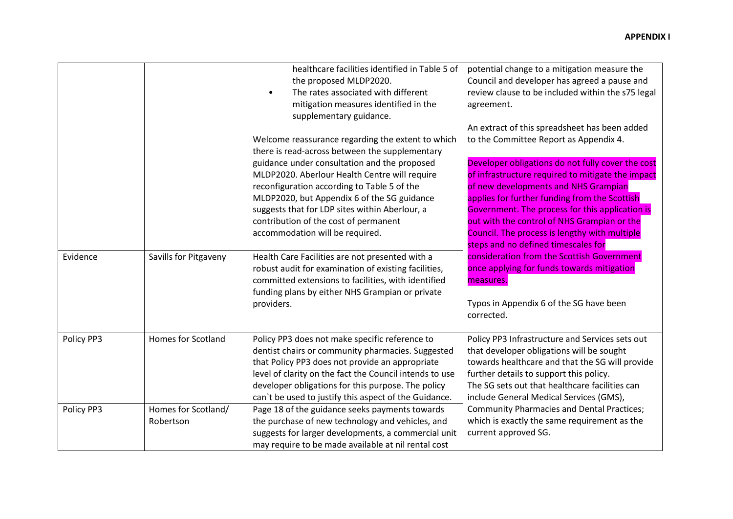|            |                                  | healthcare facilities identified in Table 5 of<br>the proposed MLDP2020.<br>The rates associated with different<br>$\bullet$<br>mitigation measures identified in the<br>supplementary guidance.                                                                                                                                 | potential change to a mitigation measure the<br>Council and developer has agreed a pause and<br>review clause to be included within the s75 legal<br>agreement.<br>An extract of this spreadsheet has been added                                                                                                                                                                          |
|------------|----------------------------------|----------------------------------------------------------------------------------------------------------------------------------------------------------------------------------------------------------------------------------------------------------------------------------------------------------------------------------|-------------------------------------------------------------------------------------------------------------------------------------------------------------------------------------------------------------------------------------------------------------------------------------------------------------------------------------------------------------------------------------------|
|            |                                  | Welcome reassurance regarding the extent to which<br>there is read-across between the supplementary                                                                                                                                                                                                                              | to the Committee Report as Appendix 4.                                                                                                                                                                                                                                                                                                                                                    |
|            |                                  | guidance under consultation and the proposed<br>MLDP2020. Aberlour Health Centre will require<br>reconfiguration according to Table 5 of the<br>MLDP2020, but Appendix 6 of the SG guidance<br>suggests that for LDP sites within Aberlour, a<br>contribution of the cost of permanent<br>accommodation will be required.        | Developer obligations do not fully cover the cost<br>of infrastructure required to mitigate the impact<br>of new developments and NHS Grampian<br>applies for further funding from the Scottish<br>Government. The process for this application is<br>out with the control of NHS Grampian or the<br>Council. The process is lengthy with multiple<br>steps and no defined timescales for |
| Evidence   | Savills for Pitgaveny            | Health Care Facilities are not presented with a<br>robust audit for examination of existing facilities,<br>committed extensions to facilities, with identified<br>funding plans by either NHS Grampian or private<br>providers.                                                                                                  | consideration from the Scottish Government<br>once applying for funds towards mitigation<br>measures.<br>Typos in Appendix 6 of the SG have been                                                                                                                                                                                                                                          |
|            |                                  |                                                                                                                                                                                                                                                                                                                                  | corrected.                                                                                                                                                                                                                                                                                                                                                                                |
| Policy PP3 | <b>Homes for Scotland</b>        | Policy PP3 does not make specific reference to<br>dentist chairs or community pharmacies. Suggested<br>that Policy PP3 does not provide an appropriate<br>level of clarity on the fact the Council intends to use<br>developer obligations for this purpose. The policy<br>can't be used to justify this aspect of the Guidance. | Policy PP3 Infrastructure and Services sets out<br>that developer obligations will be sought<br>towards healthcare and that the SG will provide<br>further details to support this policy.<br>The SG sets out that healthcare facilities can<br>include General Medical Services (GMS),                                                                                                   |
| Policy PP3 | Homes for Scotland/<br>Robertson | Page 18 of the guidance seeks payments towards<br>the purchase of new technology and vehicles, and<br>suggests for larger developments, a commercial unit<br>may require to be made available at nil rental cost                                                                                                                 | <b>Community Pharmacies and Dental Practices;</b><br>which is exactly the same requirement as the<br>current approved SG.                                                                                                                                                                                                                                                                 |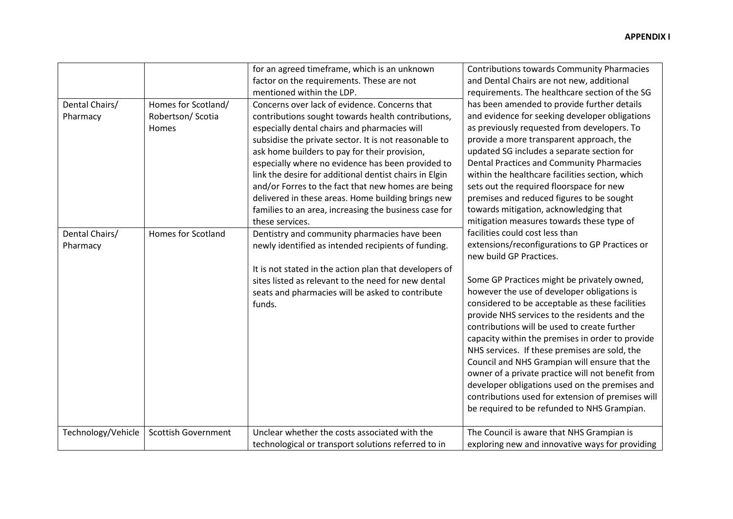| Dental Chairs/<br>Pharmacy<br>Dental Chairs/<br>Pharmacy | Homes for Scotland/<br>Robertson/ Scotia<br>Homes<br>Homes for Scotland | for an agreed timeframe, which is an unknown<br>factor on the requirements. These are not<br>mentioned within the LDP.<br>Concerns over lack of evidence. Concerns that<br>contributions sought towards health contributions,<br>especially dental chairs and pharmacies will<br>subsidise the private sector. It is not reasonable to<br>ask home builders to pay for their provision,<br>especially where no evidence has been provided to<br>link the desire for additional dentist chairs in Elgin<br>and/or Forres to the fact that new homes are being<br>delivered in these areas. Home building brings new<br>families to an area, increasing the business case for<br>these services.<br>Dentistry and community pharmacies have been<br>newly identified as intended recipients of funding. | <b>Contributions towards Community Pharmacies</b><br>and Dental Chairs are not new, additional<br>requirements. The healthcare section of the SG<br>has been amended to provide further details<br>and evidence for seeking developer obligations<br>as previously requested from developers. To<br>provide a more transparent approach, the<br>updated SG includes a separate section for<br><b>Dental Practices and Community Pharmacies</b><br>within the healthcare facilities section, which<br>sets out the required floorspace for new<br>premises and reduced figures to be sought<br>towards mitigation, acknowledging that<br>mitigation measures towards these type of<br>facilities could cost less than<br>extensions/reconfigurations to GP Practices or<br>new build GP Practices. |
|----------------------------------------------------------|-------------------------------------------------------------------------|-------------------------------------------------------------------------------------------------------------------------------------------------------------------------------------------------------------------------------------------------------------------------------------------------------------------------------------------------------------------------------------------------------------------------------------------------------------------------------------------------------------------------------------------------------------------------------------------------------------------------------------------------------------------------------------------------------------------------------------------------------------------------------------------------------|---------------------------------------------------------------------------------------------------------------------------------------------------------------------------------------------------------------------------------------------------------------------------------------------------------------------------------------------------------------------------------------------------------------------------------------------------------------------------------------------------------------------------------------------------------------------------------------------------------------------------------------------------------------------------------------------------------------------------------------------------------------------------------------------------|
|                                                          |                                                                         | It is not stated in the action plan that developers of<br>sites listed as relevant to the need for new dental<br>seats and pharmacies will be asked to contribute<br>funds.                                                                                                                                                                                                                                                                                                                                                                                                                                                                                                                                                                                                                           | Some GP Practices might be privately owned,<br>however the use of developer obligations is<br>considered to be acceptable as these facilities<br>provide NHS services to the residents and the<br>contributions will be used to create further<br>capacity within the premises in order to provide<br>NHS services. If these premises are sold, the<br>Council and NHS Grampian will ensure that the<br>owner of a private practice will not benefit from<br>developer obligations used on the premises and<br>contributions used for extension of premises will<br>be required to be refunded to NHS Grampian.                                                                                                                                                                                   |
| Technology/Vehicle                                       | <b>Scottish Government</b>                                              | Unclear whether the costs associated with the<br>technological or transport solutions referred to in                                                                                                                                                                                                                                                                                                                                                                                                                                                                                                                                                                                                                                                                                                  | The Council is aware that NHS Grampian is<br>exploring new and innovative ways for providing                                                                                                                                                                                                                                                                                                                                                                                                                                                                                                                                                                                                                                                                                                      |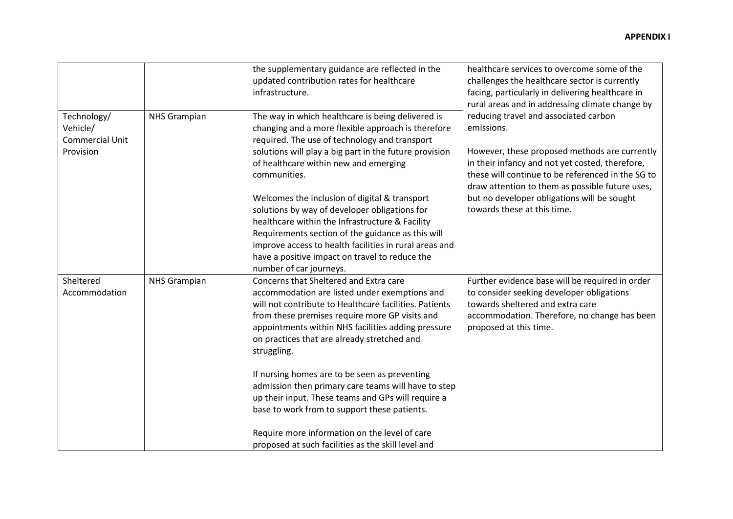|                                                         |                     | the supplementary guidance are reflected in the<br>updated contribution rates for healthcare<br>infrastructure.                                                                                                                                                                                                                                                                                                                                                                                                                                                                                                                              | healthcare services to overcome some of the<br>challenges the healthcare sector is currently<br>facing, particularly in delivering healthcare in<br>rural areas and in addressing climate change by                                                                                                                                           |
|---------------------------------------------------------|---------------------|----------------------------------------------------------------------------------------------------------------------------------------------------------------------------------------------------------------------------------------------------------------------------------------------------------------------------------------------------------------------------------------------------------------------------------------------------------------------------------------------------------------------------------------------------------------------------------------------------------------------------------------------|-----------------------------------------------------------------------------------------------------------------------------------------------------------------------------------------------------------------------------------------------------------------------------------------------------------------------------------------------|
| Technology/<br>Vehicle/<br>Commercial Unit<br>Provision | <b>NHS Grampian</b> | The way in which healthcare is being delivered is<br>changing and a more flexible approach is therefore<br>required. The use of technology and transport<br>solutions will play a big part in the future provision<br>of healthcare within new and emerging<br>communities.<br>Welcomes the inclusion of digital & transport<br>solutions by way of developer obligations for<br>healthcare within the Infrastructure & Facility<br>Requirements section of the guidance as this will<br>improve access to health facilities in rural areas and<br>have a positive impact on travel to reduce the<br>number of car journeys.                 | reducing travel and associated carbon<br>emissions.<br>However, these proposed methods are currently<br>in their infancy and not yet costed, therefore,<br>these will continue to be referenced in the SG to<br>draw attention to them as possible future uses,<br>but no developer obligations will be sought<br>towards these at this time. |
| Sheltered<br>Accommodation                              | <b>NHS Grampian</b> | Concerns that Sheltered and Extra care<br>accommodation are listed under exemptions and<br>will not contribute to Healthcare facilities. Patients<br>from these premises require more GP visits and<br>appointments within NHS facilities adding pressure<br>on practices that are already stretched and<br>struggling.<br>If nursing homes are to be seen as preventing<br>admission then primary care teams will have to step<br>up their input. These teams and GPs will require a<br>base to work from to support these patients.<br>Require more information on the level of care<br>proposed at such facilities as the skill level and | Further evidence base will be required in order<br>to consider seeking developer obligations<br>towards sheltered and extra care<br>accommodation. Therefore, no change has been<br>proposed at this time.                                                                                                                                    |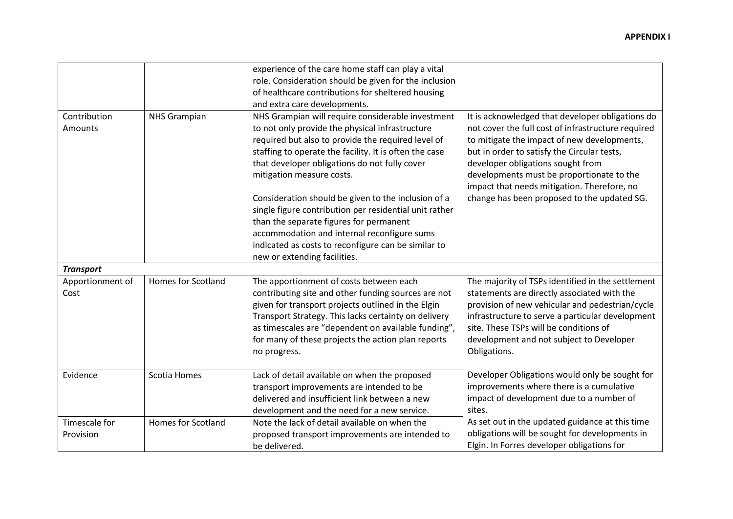|                  |                           | experience of the care home staff can play a vital     |                                                    |
|------------------|---------------------------|--------------------------------------------------------|----------------------------------------------------|
|                  |                           | role. Consideration should be given for the inclusion  |                                                    |
|                  |                           | of healthcare contributions for sheltered housing      |                                                    |
|                  |                           | and extra care developments.                           |                                                    |
| Contribution     | <b>NHS Grampian</b>       | NHS Grampian will require considerable investment      | It is acknowledged that developer obligations do   |
| Amounts          |                           | to not only provide the physical infrastructure        | not cover the full cost of infrastructure required |
|                  |                           | required but also to provide the required level of     | to mitigate the impact of new developments,        |
|                  |                           | staffing to operate the facility. It is often the case | but in order to satisfy the Circular tests,        |
|                  |                           | that developer obligations do not fully cover          | developer obligations sought from                  |
|                  |                           | mitigation measure costs.                              | developments must be proportionate to the          |
|                  |                           |                                                        | impact that needs mitigation. Therefore, no        |
|                  |                           | Consideration should be given to the inclusion of a    | change has been proposed to the updated SG.        |
|                  |                           | single figure contribution per residential unit rather |                                                    |
|                  |                           | than the separate figures for permanent                |                                                    |
|                  |                           | accommodation and internal reconfigure sums            |                                                    |
|                  |                           | indicated as costs to reconfigure can be similar to    |                                                    |
|                  |                           | new or extending facilities.                           |                                                    |
| <b>Transport</b> |                           |                                                        |                                                    |
| Apportionment of | <b>Homes for Scotland</b> | The apportionment of costs between each                | The majority of TSPs identified in the settlement  |
| Cost             |                           | contributing site and other funding sources are not    | statements are directly associated with the        |
|                  |                           | given for transport projects outlined in the Elgin     | provision of new vehicular and pedestrian/cycle    |
|                  |                           | Transport Strategy. This lacks certainty on delivery   | infrastructure to serve a particular development   |
|                  |                           | as timescales are "dependent on available funding",    | site. These TSPs will be conditions of             |
|                  |                           | for many of these projects the action plan reports     | development and not subject to Developer           |
|                  |                           | no progress.                                           | Obligations.                                       |
|                  |                           |                                                        |                                                    |
| Evidence         | Scotia Homes              | Lack of detail available on when the proposed          | Developer Obligations would only be sought for     |
|                  |                           | transport improvements are intended to be              | improvements where there is a cumulative           |
|                  |                           | delivered and insufficient link between a new          | impact of development due to a number of           |
|                  |                           | development and the need for a new service.            | sites.                                             |
| Timescale for    | <b>Homes for Scotland</b> | Note the lack of detail available on when the          | As set out in the updated guidance at this time    |
| Provision        |                           | proposed transport improvements are intended to        | obligations will be sought for developments in     |
|                  |                           | be delivered.                                          | Elgin. In Forres developer obligations for         |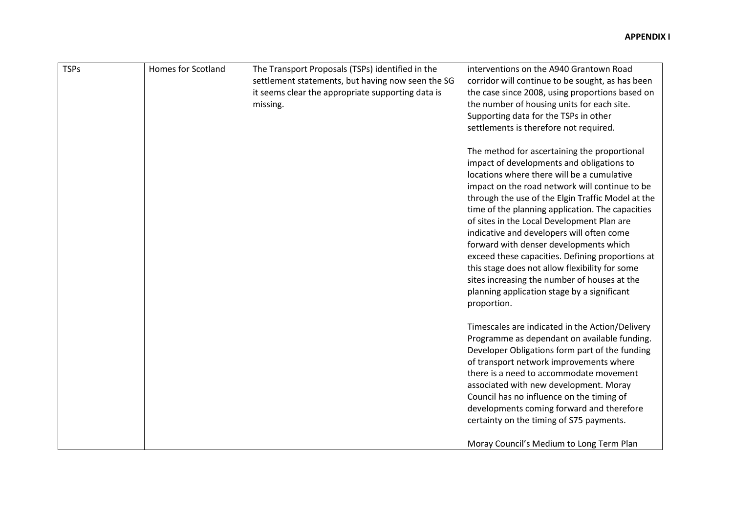| <b>TSPs</b> | <b>Homes for Scotland</b> | The Transport Proposals (TSPs) identified in the  | interventions on the A940 Grantown Road           |
|-------------|---------------------------|---------------------------------------------------|---------------------------------------------------|
|             |                           | settlement statements, but having now seen the SG | corridor will continue to be sought, as has been  |
|             |                           | it seems clear the appropriate supporting data is | the case since 2008, using proportions based on   |
|             |                           | missing.                                          | the number of housing units for each site.        |
|             |                           |                                                   | Supporting data for the TSPs in other             |
|             |                           |                                                   | settlements is therefore not required.            |
|             |                           |                                                   |                                                   |
|             |                           |                                                   | The method for ascertaining the proportional      |
|             |                           |                                                   | impact of developments and obligations to         |
|             |                           |                                                   | locations where there will be a cumulative        |
|             |                           |                                                   | impact on the road network will continue to be    |
|             |                           |                                                   | through the use of the Elgin Traffic Model at the |
|             |                           |                                                   | time of the planning application. The capacities  |
|             |                           |                                                   | of sites in the Local Development Plan are        |
|             |                           |                                                   | indicative and developers will often come         |
|             |                           |                                                   |                                                   |
|             |                           |                                                   | forward with denser developments which            |
|             |                           |                                                   | exceed these capacities. Defining proportions at  |
|             |                           |                                                   | this stage does not allow flexibility for some    |
|             |                           |                                                   | sites increasing the number of houses at the      |
|             |                           |                                                   | planning application stage by a significant       |
|             |                           |                                                   | proportion.                                       |
|             |                           |                                                   |                                                   |
|             |                           |                                                   | Timescales are indicated in the Action/Delivery   |
|             |                           |                                                   | Programme as dependant on available funding.      |
|             |                           |                                                   | Developer Obligations form part of the funding    |
|             |                           |                                                   | of transport network improvements where           |
|             |                           |                                                   | there is a need to accommodate movement           |
|             |                           |                                                   | associated with new development. Moray            |
|             |                           |                                                   | Council has no influence on the timing of         |
|             |                           |                                                   | developments coming forward and therefore         |
|             |                           |                                                   | certainty on the timing of S75 payments.          |
|             |                           |                                                   |                                                   |
|             |                           |                                                   | Moray Council's Medium to Long Term Plan          |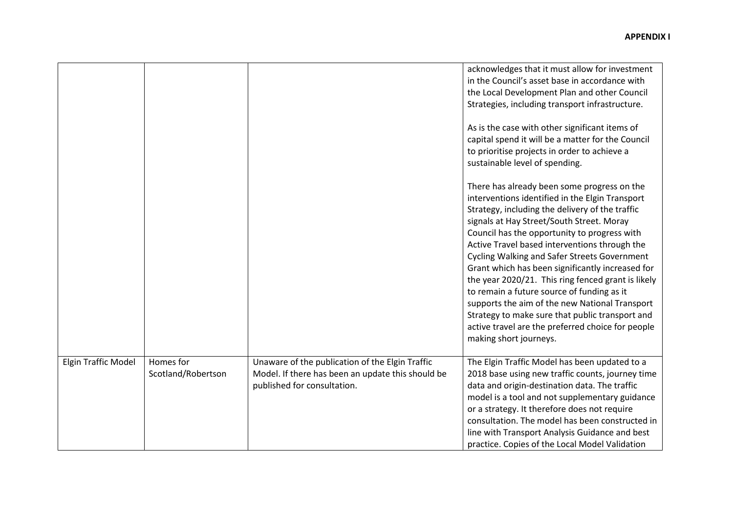|                            |                                 |                                                                                                                                     | acknowledges that it must allow for investment<br>in the Council's asset base in accordance with<br>the Local Development Plan and other Council<br>Strategies, including transport infrastructure.<br>As is the case with other significant items of<br>capital spend it will be a matter for the Council<br>to prioritise projects in order to achieve a<br>sustainable level of spending.<br>There has already been some progress on the<br>interventions identified in the Elgin Transport<br>Strategy, including the delivery of the traffic<br>signals at Hay Street/South Street. Moray<br>Council has the opportunity to progress with<br>Active Travel based interventions through the<br><b>Cycling Walking and Safer Streets Government</b><br>Grant which has been significantly increased for<br>the year 2020/21. This ring fenced grant is likely<br>to remain a future source of funding as it<br>supports the aim of the new National Transport |
|----------------------------|---------------------------------|-------------------------------------------------------------------------------------------------------------------------------------|------------------------------------------------------------------------------------------------------------------------------------------------------------------------------------------------------------------------------------------------------------------------------------------------------------------------------------------------------------------------------------------------------------------------------------------------------------------------------------------------------------------------------------------------------------------------------------------------------------------------------------------------------------------------------------------------------------------------------------------------------------------------------------------------------------------------------------------------------------------------------------------------------------------------------------------------------------------|
|                            |                                 |                                                                                                                                     | Strategy to make sure that public transport and<br>active travel are the preferred choice for people<br>making short journeys.                                                                                                                                                                                                                                                                                                                                                                                                                                                                                                                                                                                                                                                                                                                                                                                                                                   |
| <b>Elgin Traffic Model</b> | Homes for<br>Scotland/Robertson | Unaware of the publication of the Elgin Traffic<br>Model. If there has been an update this should be<br>published for consultation. | The Elgin Traffic Model has been updated to a<br>2018 base using new traffic counts, journey time<br>data and origin-destination data. The traffic<br>model is a tool and not supplementary guidance<br>or a strategy. It therefore does not require<br>consultation. The model has been constructed in<br>line with Transport Analysis Guidance and best<br>practice. Copies of the Local Model Validation                                                                                                                                                                                                                                                                                                                                                                                                                                                                                                                                                      |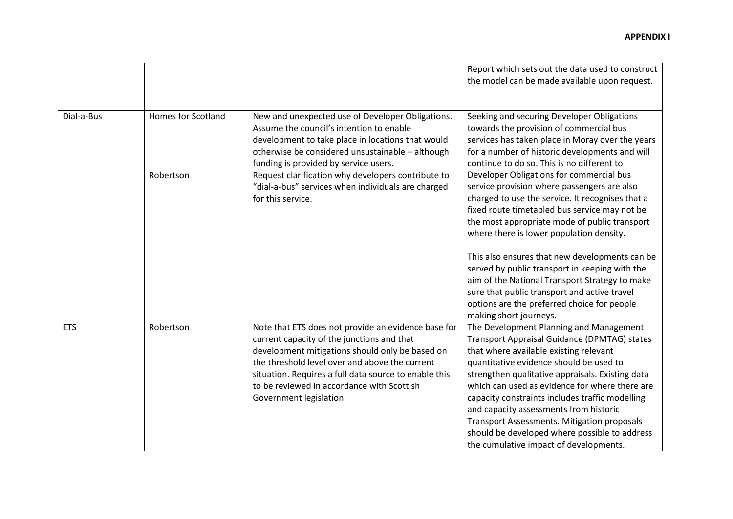|            |                           |                                                                                                     | Report which sets out the data used to construct<br>the model can be made available upon request.  |
|------------|---------------------------|-----------------------------------------------------------------------------------------------------|----------------------------------------------------------------------------------------------------|
|            |                           |                                                                                                     |                                                                                                    |
| Dial-a-Bus | <b>Homes for Scotland</b> | New and unexpected use of Developer Obligations.                                                    | Seeking and securing Developer Obligations                                                         |
|            |                           | Assume the council's intention to enable                                                            | towards the provision of commercial bus                                                            |
|            |                           | development to take place in locations that would                                                   | services has taken place in Moray over the years                                                   |
|            |                           | otherwise be considered unsustainable - although                                                    | for a number of historic developments and will                                                     |
|            |                           | funding is provided by service users.                                                               | continue to do so. This is no different to                                                         |
|            | Robertson                 | Request clarification why developers contribute to                                                  | Developer Obligations for commercial bus                                                           |
|            |                           | "dial-a-bus" services when individuals are charged                                                  | service provision where passengers are also                                                        |
|            |                           | for this service.                                                                                   | charged to use the service. It recognises that a                                                   |
|            |                           |                                                                                                     | fixed route timetabled bus service may not be                                                      |
|            |                           |                                                                                                     | the most appropriate mode of public transport                                                      |
|            |                           |                                                                                                     | where there is lower population density.                                                           |
|            |                           |                                                                                                     | This also ensures that new developments can be                                                     |
|            |                           |                                                                                                     | served by public transport in keeping with the                                                     |
|            |                           |                                                                                                     | aim of the National Transport Strategy to make                                                     |
|            |                           |                                                                                                     | sure that public transport and active travel                                                       |
|            |                           |                                                                                                     | options are the preferred choice for people                                                        |
|            |                           |                                                                                                     | making short journeys.                                                                             |
| <b>ETS</b> | Robertson                 | Note that ETS does not provide an evidence base for                                                 | The Development Planning and Management                                                            |
|            |                           | current capacity of the junctions and that                                                          | Transport Appraisal Guidance (DPMTAG) states                                                       |
|            |                           | development mitigations should only be based on                                                     | that where available existing relevant                                                             |
|            |                           | the threshold level over and above the current                                                      | quantitative evidence should be used to                                                            |
|            |                           | situation. Requires a full data source to enable this<br>to be reviewed in accordance with Scottish | strengthen qualitative appraisals. Existing data<br>which can used as evidence for where there are |
|            |                           | Government legislation.                                                                             | capacity constraints includes traffic modelling                                                    |
|            |                           |                                                                                                     | and capacity assessments from historic                                                             |
|            |                           |                                                                                                     | <b>Transport Assessments. Mitigation proposals</b>                                                 |
|            |                           |                                                                                                     | should be developed where possible to address                                                      |
|            |                           |                                                                                                     | the cumulative impact of developments.                                                             |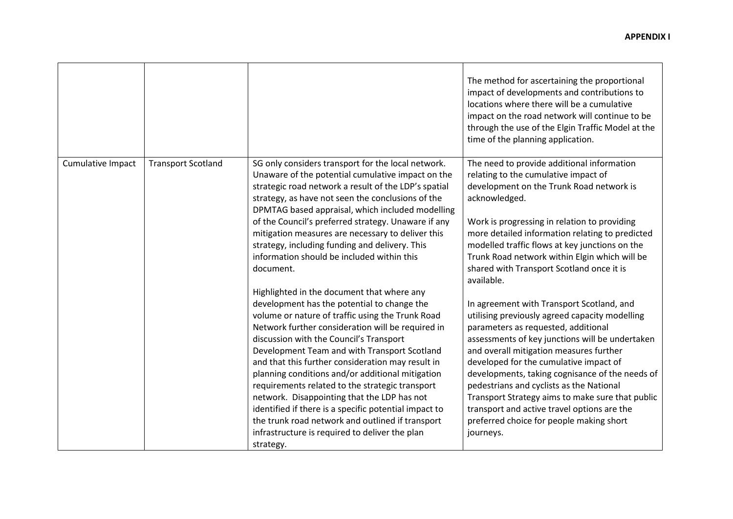|                   |                           |                                                                                                                                                                                                                                                                                                                                                                                                                                                                                                                                                                                                                                        | The method for ascertaining the proportional<br>impact of developments and contributions to<br>locations where there will be a cumulative<br>impact on the road network will continue to be<br>through the use of the Elgin Traffic Model at the<br>time of the planning application.                                                                                                                                                                                                                                                 |
|-------------------|---------------------------|----------------------------------------------------------------------------------------------------------------------------------------------------------------------------------------------------------------------------------------------------------------------------------------------------------------------------------------------------------------------------------------------------------------------------------------------------------------------------------------------------------------------------------------------------------------------------------------------------------------------------------------|---------------------------------------------------------------------------------------------------------------------------------------------------------------------------------------------------------------------------------------------------------------------------------------------------------------------------------------------------------------------------------------------------------------------------------------------------------------------------------------------------------------------------------------|
| Cumulative Impact | <b>Transport Scotland</b> | SG only considers transport for the local network.<br>Unaware of the potential cumulative impact on the<br>strategic road network a result of the LDP's spatial<br>strategy, as have not seen the conclusions of the<br>DPMTAG based appraisal, which included modelling<br>of the Council's preferred strategy. Unaware if any<br>mitigation measures are necessary to deliver this<br>strategy, including funding and delivery. This<br>information should be included within this<br>document.<br>Highlighted in the document that where any                                                                                        | The need to provide additional information<br>relating to the cumulative impact of<br>development on the Trunk Road network is<br>acknowledged.<br>Work is progressing in relation to providing<br>more detailed information relating to predicted<br>modelled traffic flows at key junctions on the<br>Trunk Road network within Elgin which will be<br>shared with Transport Scotland once it is<br>available.                                                                                                                      |
|                   |                           | development has the potential to change the<br>volume or nature of traffic using the Trunk Road<br>Network further consideration will be required in<br>discussion with the Council's Transport<br>Development Team and with Transport Scotland<br>and that this further consideration may result in<br>planning conditions and/or additional mitigation<br>requirements related to the strategic transport<br>network. Disappointing that the LDP has not<br>identified if there is a specific potential impact to<br>the trunk road network and outlined if transport<br>infrastructure is required to deliver the plan<br>strategy. | In agreement with Transport Scotland, and<br>utilising previously agreed capacity modelling<br>parameters as requested, additional<br>assessments of key junctions will be undertaken<br>and overall mitigation measures further<br>developed for the cumulative impact of<br>developments, taking cognisance of the needs of<br>pedestrians and cyclists as the National<br>Transport Strategy aims to make sure that public<br>transport and active travel options are the<br>preferred choice for people making short<br>journeys. |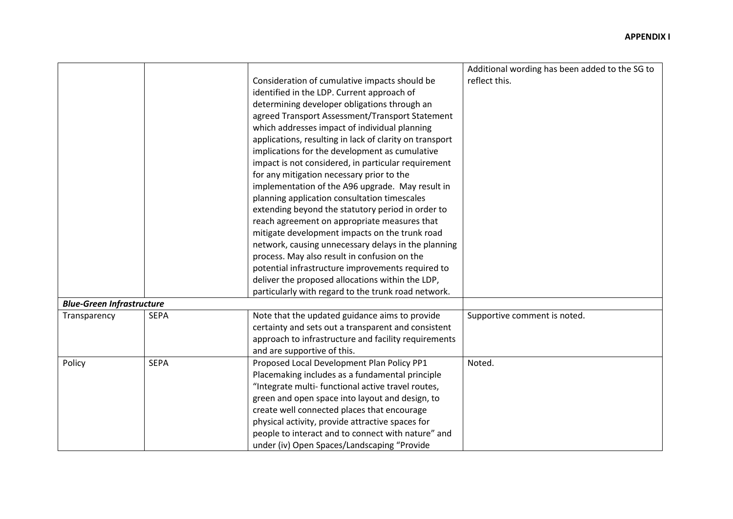|                                  |             |                                                         | Additional wording has been added to the SG to |
|----------------------------------|-------------|---------------------------------------------------------|------------------------------------------------|
|                                  |             | Consideration of cumulative impacts should be           | reflect this.                                  |
|                                  |             | identified in the LDP. Current approach of              |                                                |
|                                  |             | determining developer obligations through an            |                                                |
|                                  |             | agreed Transport Assessment/Transport Statement         |                                                |
|                                  |             | which addresses impact of individual planning           |                                                |
|                                  |             | applications, resulting in lack of clarity on transport |                                                |
|                                  |             |                                                         |                                                |
|                                  |             | implications for the development as cumulative          |                                                |
|                                  |             | impact is not considered, in particular requirement     |                                                |
|                                  |             | for any mitigation necessary prior to the               |                                                |
|                                  |             | implementation of the A96 upgrade. May result in        |                                                |
|                                  |             | planning application consultation timescales            |                                                |
|                                  |             | extending beyond the statutory period in order to       |                                                |
|                                  |             | reach agreement on appropriate measures that            |                                                |
|                                  |             | mitigate development impacts on the trunk road          |                                                |
|                                  |             | network, causing unnecessary delays in the planning     |                                                |
|                                  |             | process. May also result in confusion on the            |                                                |
|                                  |             | potential infrastructure improvements required to       |                                                |
|                                  |             | deliver the proposed allocations within the LDP,        |                                                |
|                                  |             | particularly with regard to the trunk road network.     |                                                |
| <b>Blue-Green Infrastructure</b> |             |                                                         |                                                |
| Transparency                     | <b>SEPA</b> | Note that the updated guidance aims to provide          | Supportive comment is noted.                   |
|                                  |             | certainty and sets out a transparent and consistent     |                                                |
|                                  |             | approach to infrastructure and facility requirements    |                                                |
|                                  |             | and are supportive of this.                             |                                                |
| Policy                           | <b>SEPA</b> | Proposed Local Development Plan Policy PP1              | Noted.                                         |
|                                  |             | Placemaking includes as a fundamental principle         |                                                |
|                                  |             | "Integrate multi- functional active travel routes,      |                                                |
|                                  |             | green and open space into layout and design, to         |                                                |
|                                  |             | create well connected places that encourage             |                                                |
|                                  |             | physical activity, provide attractive spaces for        |                                                |
|                                  |             | people to interact and to connect with nature" and      |                                                |
|                                  |             | under (iv) Open Spaces/Landscaping "Provide             |                                                |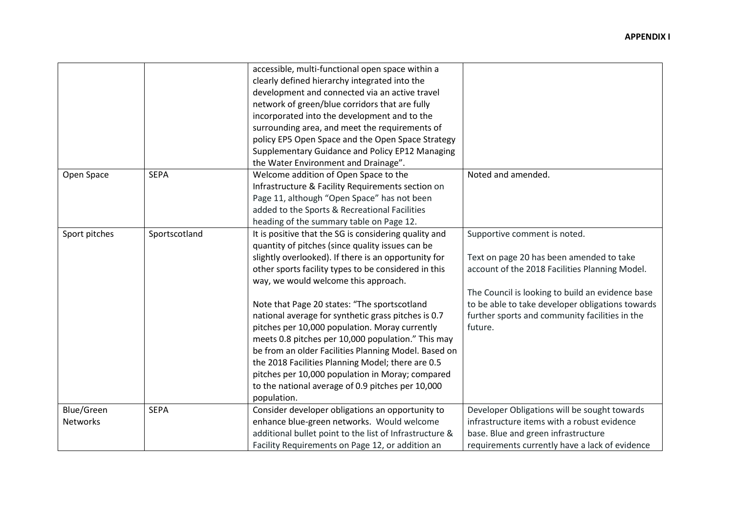|                                      |               | accessible, multi-functional open space within a<br>clearly defined hierarchy integrated into the<br>development and connected via an active travel<br>network of green/blue corridors that are fully<br>incorporated into the development and to the<br>surrounding area, and meet the requirements of<br>policy EP5 Open Space and the Open Space Strategy<br>Supplementary Guidance and Policy EP12 Managing<br>the Water Environment and Drainage".                                                                                                                                                                                                                                                               |                                                                                                                                                                                                                                                                                                 |
|--------------------------------------|---------------|-----------------------------------------------------------------------------------------------------------------------------------------------------------------------------------------------------------------------------------------------------------------------------------------------------------------------------------------------------------------------------------------------------------------------------------------------------------------------------------------------------------------------------------------------------------------------------------------------------------------------------------------------------------------------------------------------------------------------|-------------------------------------------------------------------------------------------------------------------------------------------------------------------------------------------------------------------------------------------------------------------------------------------------|
| Open Space                           | <b>SEPA</b>   | Welcome addition of Open Space to the<br>Infrastructure & Facility Requirements section on<br>Page 11, although "Open Space" has not been<br>added to the Sports & Recreational Facilities<br>heading of the summary table on Page 12.                                                                                                                                                                                                                                                                                                                                                                                                                                                                                | Noted and amended.                                                                                                                                                                                                                                                                              |
| Sport pitches                        | Sportscotland | It is positive that the SG is considering quality and<br>quantity of pitches (since quality issues can be<br>slightly overlooked). If there is an opportunity for<br>other sports facility types to be considered in this<br>way, we would welcome this approach.<br>Note that Page 20 states: "The sportscotland<br>national average for synthetic grass pitches is 0.7<br>pitches per 10,000 population. Moray currently<br>meets 0.8 pitches per 10,000 population." This may<br>be from an older Facilities Planning Model. Based on<br>the 2018 Facilities Planning Model; there are 0.5<br>pitches per 10,000 population in Moray; compared<br>to the national average of 0.9 pitches per 10,000<br>population. | Supportive comment is noted.<br>Text on page 20 has been amended to take<br>account of the 2018 Facilities Planning Model.<br>The Council is looking to build an evidence base<br>to be able to take developer obligations towards<br>further sports and community facilities in the<br>future. |
| <b>Blue/Green</b><br><b>Networks</b> | <b>SEPA</b>   | Consider developer obligations an opportunity to<br>enhance blue-green networks. Would welcome<br>additional bullet point to the list of Infrastructure &<br>Facility Requirements on Page 12, or addition an                                                                                                                                                                                                                                                                                                                                                                                                                                                                                                         | Developer Obligations will be sought towards<br>infrastructure items with a robust evidence<br>base. Blue and green infrastructure<br>requirements currently have a lack of evidence                                                                                                            |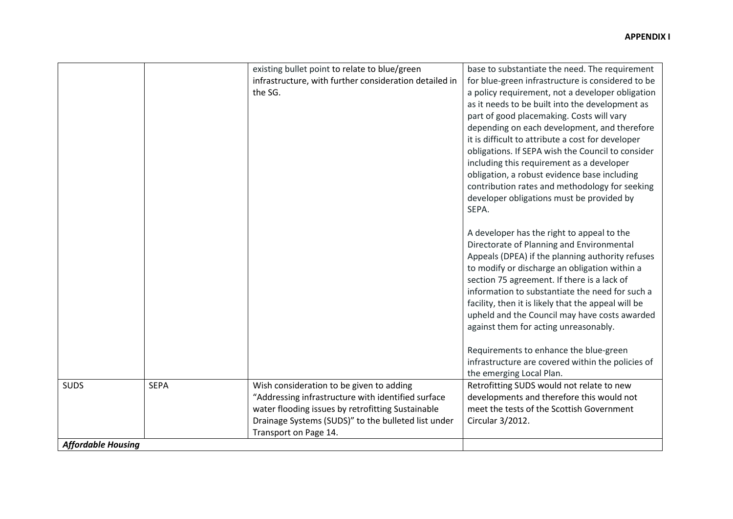|                                          |             | existing bullet point to relate to blue/green<br>infrastructure, with further consideration detailed in<br>the SG.                                                                                                                  | base to substantiate the need. The requirement<br>for blue-green infrastructure is considered to be<br>a policy requirement, not a developer obligation<br>as it needs to be built into the development as<br>part of good placemaking. Costs will vary<br>depending on each development, and therefore<br>it is difficult to attribute a cost for developer<br>obligations. If SEPA wish the Council to consider<br>including this requirement as a developer<br>obligation, a robust evidence base including<br>contribution rates and methodology for seeking<br>developer obligations must be provided by<br>SEPA.<br>A developer has the right to appeal to the<br>Directorate of Planning and Environmental<br>Appeals (DPEA) if the planning authority refuses<br>to modify or discharge an obligation within a<br>section 75 agreement. If there is a lack of<br>information to substantiate the need for such a<br>facility, then it is likely that the appeal will be<br>upheld and the Council may have costs awarded<br>against them for acting unreasonably. |
|------------------------------------------|-------------|-------------------------------------------------------------------------------------------------------------------------------------------------------------------------------------------------------------------------------------|---------------------------------------------------------------------------------------------------------------------------------------------------------------------------------------------------------------------------------------------------------------------------------------------------------------------------------------------------------------------------------------------------------------------------------------------------------------------------------------------------------------------------------------------------------------------------------------------------------------------------------------------------------------------------------------------------------------------------------------------------------------------------------------------------------------------------------------------------------------------------------------------------------------------------------------------------------------------------------------------------------------------------------------------------------------------------|
|                                          |             |                                                                                                                                                                                                                                     | Requirements to enhance the blue-green<br>infrastructure are covered within the policies of<br>the emerging Local Plan.                                                                                                                                                                                                                                                                                                                                                                                                                                                                                                                                                                                                                                                                                                                                                                                                                                                                                                                                                   |
| <b>SUDS</b><br><b>Affordable Housing</b> | <b>SEPA</b> | Wish consideration to be given to adding<br>"Addressing infrastructure with identified surface<br>water flooding issues by retrofitting Sustainable<br>Drainage Systems (SUDS)" to the bulleted list under<br>Transport on Page 14. | Retrofitting SUDS would not relate to new<br>developments and therefore this would not<br>meet the tests of the Scottish Government<br>Circular 3/2012.                                                                                                                                                                                                                                                                                                                                                                                                                                                                                                                                                                                                                                                                                                                                                                                                                                                                                                                   |
|                                          |             |                                                                                                                                                                                                                                     |                                                                                                                                                                                                                                                                                                                                                                                                                                                                                                                                                                                                                                                                                                                                                                                                                                                                                                                                                                                                                                                                           |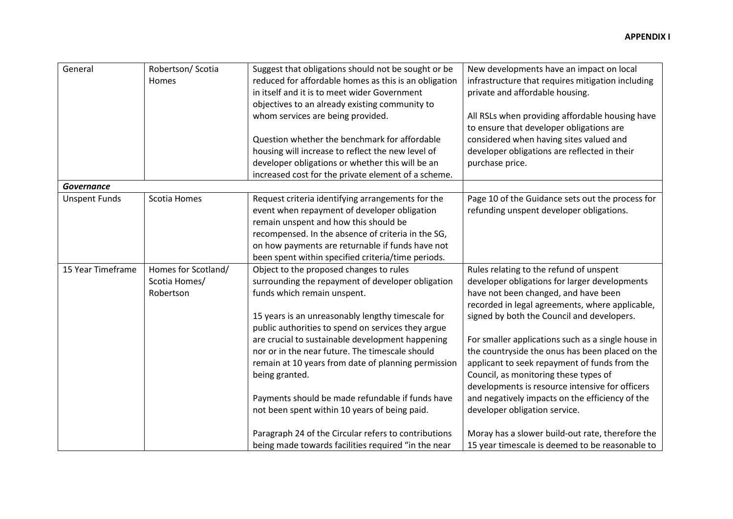| General              | Robertson/ Scotia<br>Homes                        | Suggest that obligations should not be sought or be<br>reduced for affordable homes as this is an obligation<br>in itself and it is to meet wider Government<br>objectives to an already existing community to<br>whom services are being provided.<br>Question whether the benchmark for affordable<br>housing will increase to reflect the new level of<br>developer obligations or whether this will be an<br>increased cost for the private element of a scheme.                                                        | New developments have an impact on local<br>infrastructure that requires mitigation including<br>private and affordable housing.<br>All RSLs when providing affordable housing have<br>to ensure that developer obligations are<br>considered when having sites valued and<br>developer obligations are reflected in their<br>purchase price.                                                                                                                                                                                                                               |
|----------------------|---------------------------------------------------|-----------------------------------------------------------------------------------------------------------------------------------------------------------------------------------------------------------------------------------------------------------------------------------------------------------------------------------------------------------------------------------------------------------------------------------------------------------------------------------------------------------------------------|-----------------------------------------------------------------------------------------------------------------------------------------------------------------------------------------------------------------------------------------------------------------------------------------------------------------------------------------------------------------------------------------------------------------------------------------------------------------------------------------------------------------------------------------------------------------------------|
| <b>Governance</b>    |                                                   |                                                                                                                                                                                                                                                                                                                                                                                                                                                                                                                             |                                                                                                                                                                                                                                                                                                                                                                                                                                                                                                                                                                             |
| <b>Unspent Funds</b> | Scotia Homes                                      | Request criteria identifying arrangements for the<br>event when repayment of developer obligation<br>remain unspent and how this should be<br>recompensed. In the absence of criteria in the SG,<br>on how payments are returnable if funds have not<br>been spent within specified criteria/time periods.                                                                                                                                                                                                                  | Page 10 of the Guidance sets out the process for<br>refunding unspent developer obligations.                                                                                                                                                                                                                                                                                                                                                                                                                                                                                |
| 15 Year Timeframe    | Homes for Scotland/<br>Scotia Homes/<br>Robertson | Object to the proposed changes to rules<br>surrounding the repayment of developer obligation<br>funds which remain unspent.<br>15 years is an unreasonably lengthy timescale for<br>public authorities to spend on services they argue<br>are crucial to sustainable development happening<br>nor or in the near future. The timescale should<br>remain at 10 years from date of planning permission<br>being granted.<br>Payments should be made refundable if funds have<br>not been spent within 10 years of being paid. | Rules relating to the refund of unspent<br>developer obligations for larger developments<br>have not been changed, and have been<br>recorded in legal agreements, where applicable,<br>signed by both the Council and developers.<br>For smaller applications such as a single house in<br>the countryside the onus has been placed on the<br>applicant to seek repayment of funds from the<br>Council, as monitoring these types of<br>developments is resource intensive for officers<br>and negatively impacts on the efficiency of the<br>developer obligation service. |
|                      |                                                   | Paragraph 24 of the Circular refers to contributions<br>being made towards facilities required "in the near                                                                                                                                                                                                                                                                                                                                                                                                                 | Moray has a slower build-out rate, therefore the<br>15 year timescale is deemed to be reasonable to                                                                                                                                                                                                                                                                                                                                                                                                                                                                         |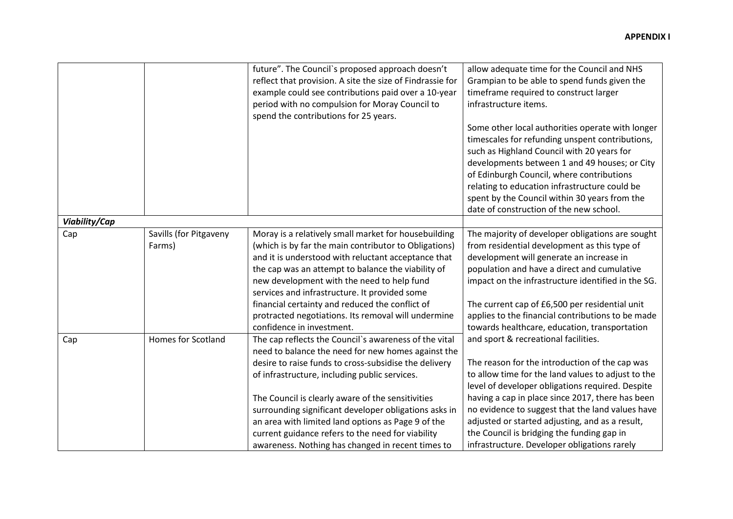|               |                                  | future". The Council's proposed approach doesn't<br>reflect that provision. A site the size of Findrassie for<br>example could see contributions paid over a 10-year<br>period with no compulsion for Moray Council to<br>spend the contributions for 25 years.                                                                                                                                                                     | allow adequate time for the Council and NHS<br>Grampian to be able to spend funds given the<br>timeframe required to construct larger<br>infrastructure items.<br>Some other local authorities operate with longer<br>timescales for refunding unspent contributions,<br>such as Highland Council with 20 years for<br>developments between 1 and 49 houses; or City<br>of Edinburgh Council, where contributions<br>relating to education infrastructure could be<br>spent by the Council within 30 years from the<br>date of construction of the new school. |
|---------------|----------------------------------|-------------------------------------------------------------------------------------------------------------------------------------------------------------------------------------------------------------------------------------------------------------------------------------------------------------------------------------------------------------------------------------------------------------------------------------|----------------------------------------------------------------------------------------------------------------------------------------------------------------------------------------------------------------------------------------------------------------------------------------------------------------------------------------------------------------------------------------------------------------------------------------------------------------------------------------------------------------------------------------------------------------|
| Viability/Cap |                                  |                                                                                                                                                                                                                                                                                                                                                                                                                                     |                                                                                                                                                                                                                                                                                                                                                                                                                                                                                                                                                                |
| Cap           | Savills (for Pitgaveny<br>Farms) | Moray is a relatively small market for housebuilding<br>(which is by far the main contributor to Obligations)<br>and it is understood with reluctant acceptance that<br>the cap was an attempt to balance the viability of<br>new development with the need to help fund<br>services and infrastructure. It provided some<br>financial certainty and reduced the conflict of<br>protracted negotiations. Its removal will undermine | The majority of developer obligations are sought<br>from residential development as this type of<br>development will generate an increase in<br>population and have a direct and cumulative<br>impact on the infrastructure identified in the SG.<br>The current cap of £6,500 per residential unit<br>applies to the financial contributions to be made                                                                                                                                                                                                       |
| Cap           | <b>Homes for Scotland</b>        | confidence in investment.<br>The cap reflects the Council's awareness of the vital<br>need to balance the need for new homes against the                                                                                                                                                                                                                                                                                            | towards healthcare, education, transportation<br>and sport & recreational facilities.                                                                                                                                                                                                                                                                                                                                                                                                                                                                          |
|               |                                  | desire to raise funds to cross-subsidise the delivery<br>of infrastructure, including public services.<br>The Council is clearly aware of the sensitivities<br>surrounding significant developer obligations asks in<br>an area with limited land options as Page 9 of the                                                                                                                                                          | The reason for the introduction of the cap was<br>to allow time for the land values to adjust to the<br>level of developer obligations required. Despite<br>having a cap in place since 2017, there has been<br>no evidence to suggest that the land values have<br>adjusted or started adjusting, and as a result,                                                                                                                                                                                                                                            |
|               |                                  | current guidance refers to the need for viability<br>awareness. Nothing has changed in recent times to                                                                                                                                                                                                                                                                                                                              | the Council is bridging the funding gap in<br>infrastructure. Developer obligations rarely                                                                                                                                                                                                                                                                                                                                                                                                                                                                     |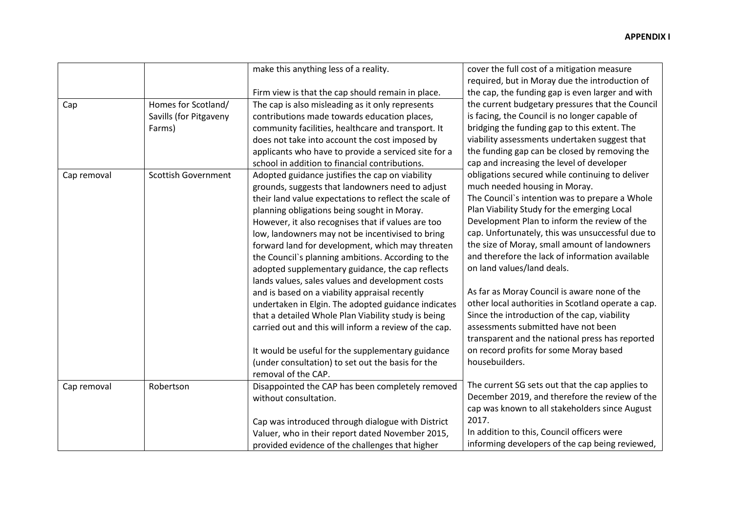|             |                            | make this anything less of a reality.                 | cover the full cost of a mitigation measure        |
|-------------|----------------------------|-------------------------------------------------------|----------------------------------------------------|
|             |                            |                                                       | required, but in Moray due the introduction of     |
|             |                            | Firm view is that the cap should remain in place.     | the cap, the funding gap is even larger and with   |
| Cap         | Homes for Scotland/        | The cap is also misleading as it only represents      | the current budgetary pressures that the Council   |
|             | Savills (for Pitgaveny     | contributions made towards education places,          | is facing, the Council is no longer capable of     |
|             | Farms)                     | community facilities, healthcare and transport. It    | bridging the funding gap to this extent. The       |
|             |                            | does not take into account the cost imposed by        | viability assessments undertaken suggest that      |
|             |                            | applicants who have to provide a serviced site for a  | the funding gap can be closed by removing the      |
|             |                            | school in addition to financial contributions.        | cap and increasing the level of developer          |
| Cap removal | <b>Scottish Government</b> | Adopted guidance justifies the cap on viability       | obligations secured while continuing to deliver    |
|             |                            | grounds, suggests that landowners need to adjust      | much needed housing in Moray.                      |
|             |                            | their land value expectations to reflect the scale of | The Council's intention was to prepare a Whole     |
|             |                            | planning obligations being sought in Moray.           | Plan Viability Study for the emerging Local        |
|             |                            | However, it also recognises that if values are too    | Development Plan to inform the review of the       |
|             |                            | low, landowners may not be incentivised to bring      | cap. Unfortunately, this was unsuccessful due to   |
|             |                            | forward land for development, which may threaten      | the size of Moray, small amount of landowners      |
|             |                            | the Council's planning ambitions. According to the    | and therefore the lack of information available    |
|             |                            | adopted supplementary guidance, the cap reflects      | on land values/land deals.                         |
|             |                            | lands values, sales values and development costs      |                                                    |
|             |                            | and is based on a viability appraisal recently        | As far as Moray Council is aware none of the       |
|             |                            | undertaken in Elgin. The adopted guidance indicates   | other local authorities in Scotland operate a cap. |
|             |                            | that a detailed Whole Plan Viability study is being   | Since the introduction of the cap, viability       |
|             |                            | carried out and this will inform a review of the cap. | assessments submitted have not been                |
|             |                            |                                                       | transparent and the national press has reported    |
|             |                            | It would be useful for the supplementary guidance     | on record profits for some Moray based             |
|             |                            | (under consultation) to set out the basis for the     | housebuilders.                                     |
|             |                            | removal of the CAP.                                   |                                                    |
| Cap removal | Robertson                  | Disappointed the CAP has been completely removed      | The current SG sets out that the cap applies to    |
|             |                            | without consultation.                                 | December 2019, and therefore the review of the     |
|             |                            |                                                       | cap was known to all stakeholders since August     |
|             |                            | Cap was introduced through dialogue with District     | 2017.                                              |
|             |                            | Valuer, who in their report dated November 2015,      | In addition to this, Council officers were         |
|             |                            | provided evidence of the challenges that higher       | informing developers of the cap being reviewed,    |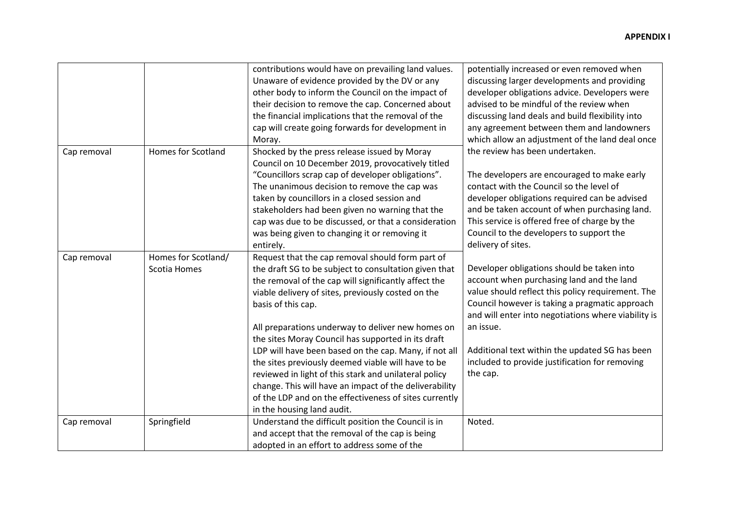|             |                           | contributions would have on prevailing land values.    | potentially increased or even removed when          |
|-------------|---------------------------|--------------------------------------------------------|-----------------------------------------------------|
|             |                           | Unaware of evidence provided by the DV or any          | discussing larger developments and providing        |
|             |                           | other body to inform the Council on the impact of      | developer obligations advice. Developers were       |
|             |                           | their decision to remove the cap. Concerned about      | advised to be mindful of the review when            |
|             |                           | the financial implications that the removal of the     | discussing land deals and build flexibility into    |
|             |                           | cap will create going forwards for development in      | any agreement between them and landowners           |
|             |                           | Moray.                                                 | which allow an adjustment of the land deal once     |
| Cap removal | <b>Homes for Scotland</b> | Shocked by the press release issued by Moray           | the review has been undertaken.                     |
|             |                           | Council on 10 December 2019, provocatively titled      |                                                     |
|             |                           | "Councillors scrap cap of developer obligations".      | The developers are encouraged to make early         |
|             |                           | The unanimous decision to remove the cap was           | contact with the Council so the level of            |
|             |                           | taken by councillors in a closed session and           | developer obligations required can be advised       |
|             |                           | stakeholders had been given no warning that the        | and be taken account of when purchasing land.       |
|             |                           | cap was due to be discussed, or that a consideration   | This service is offered free of charge by the       |
|             |                           | was being given to changing it or removing it          | Council to the developers to support the            |
|             |                           | entirely.                                              | delivery of sites.                                  |
| Cap removal | Homes for Scotland/       | Request that the cap removal should form part of       |                                                     |
|             | Scotia Homes              | the draft SG to be subject to consultation given that  | Developer obligations should be taken into          |
|             |                           | the removal of the cap will significantly affect the   | account when purchasing land and the land           |
|             |                           | viable delivery of sites, previously costed on the     | value should reflect this policy requirement. The   |
|             |                           | basis of this cap.                                     | Council however is taking a pragmatic approach      |
|             |                           |                                                        | and will enter into negotiations where viability is |
|             |                           | All preparations underway to deliver new homes on      | an issue.                                           |
|             |                           | the sites Moray Council has supported in its draft     |                                                     |
|             |                           | LDP will have been based on the cap. Many, if not all  | Additional text within the updated SG has been      |
|             |                           | the sites previously deemed viable will have to be     | included to provide justification for removing      |
|             |                           | reviewed in light of this stark and unilateral policy  | the cap.                                            |
|             |                           | change. This will have an impact of the deliverability |                                                     |
|             |                           | of the LDP and on the effectiveness of sites currently |                                                     |
|             |                           | in the housing land audit.                             |                                                     |
| Cap removal | Springfield               | Understand the difficult position the Council is in    | Noted.                                              |
|             |                           | and accept that the removal of the cap is being        |                                                     |
|             |                           | adopted in an effort to address some of the            |                                                     |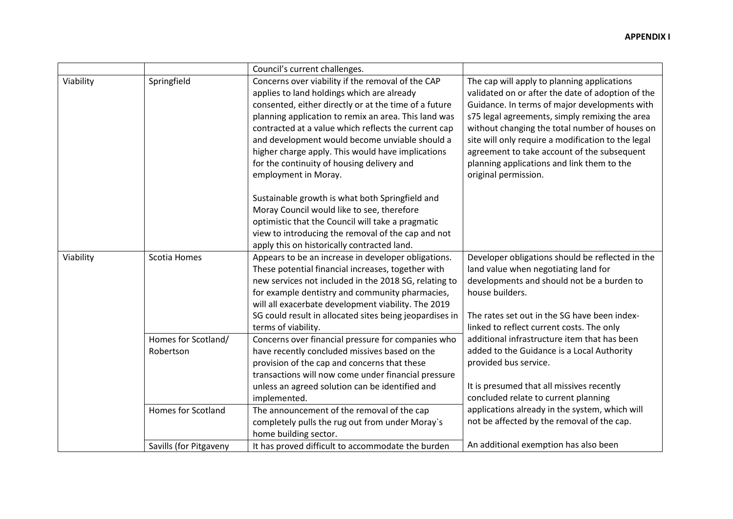|           |                                  | Council's current challenges.                                                                                                                                                                                                                                                                                                                                                                                                                         |                                                                                                                                                                                                                                                                                                                                                                                                                                  |
|-----------|----------------------------------|-------------------------------------------------------------------------------------------------------------------------------------------------------------------------------------------------------------------------------------------------------------------------------------------------------------------------------------------------------------------------------------------------------------------------------------------------------|----------------------------------------------------------------------------------------------------------------------------------------------------------------------------------------------------------------------------------------------------------------------------------------------------------------------------------------------------------------------------------------------------------------------------------|
| Viability | Springfield                      | Concerns over viability if the removal of the CAP<br>applies to land holdings which are already<br>consented, either directly or at the time of a future<br>planning application to remix an area. This land was<br>contracted at a value which reflects the current cap<br>and development would become unviable should a<br>higher charge apply. This would have implications<br>for the continuity of housing delivery and<br>employment in Moray. | The cap will apply to planning applications<br>validated on or after the date of adoption of the<br>Guidance. In terms of major developments with<br>s75 legal agreements, simply remixing the area<br>without changing the total number of houses on<br>site will only require a modification to the legal<br>agreement to take account of the subsequent<br>planning applications and link them to the<br>original permission. |
|           |                                  | Sustainable growth is what both Springfield and<br>Moray Council would like to see, therefore<br>optimistic that the Council will take a pragmatic<br>view to introducing the removal of the cap and not<br>apply this on historically contracted land.                                                                                                                                                                                               |                                                                                                                                                                                                                                                                                                                                                                                                                                  |
| Viability | Scotia Homes                     | Appears to be an increase in developer obligations.<br>These potential financial increases, together with<br>new services not included in the 2018 SG, relating to<br>for example dentistry and community pharmacies,<br>will all exacerbate development viability. The 2019<br>SG could result in allocated sites being jeopardises in                                                                                                               | Developer obligations should be reflected in the<br>land value when negotiating land for<br>developments and should not be a burden to<br>house builders.<br>The rates set out in the SG have been index-                                                                                                                                                                                                                        |
|           | Homes for Scotland/<br>Robertson | terms of viability.<br>Concerns over financial pressure for companies who<br>have recently concluded missives based on the<br>provision of the cap and concerns that these<br>transactions will now come under financial pressure<br>unless an agreed solution can be identified and                                                                                                                                                                  | linked to reflect current costs. The only<br>additional infrastructure item that has been<br>added to the Guidance is a Local Authority<br>provided bus service.<br>It is presumed that all missives recently                                                                                                                                                                                                                    |
|           | <b>Homes for Scotland</b>        | implemented.<br>The announcement of the removal of the cap<br>completely pulls the rug out from under Moray's<br>home building sector.                                                                                                                                                                                                                                                                                                                | concluded relate to current planning<br>applications already in the system, which will<br>not be affected by the removal of the cap.                                                                                                                                                                                                                                                                                             |
|           | Savills (for Pitgaveny           | It has proved difficult to accommodate the burden                                                                                                                                                                                                                                                                                                                                                                                                     | An additional exemption has also been                                                                                                                                                                                                                                                                                                                                                                                            |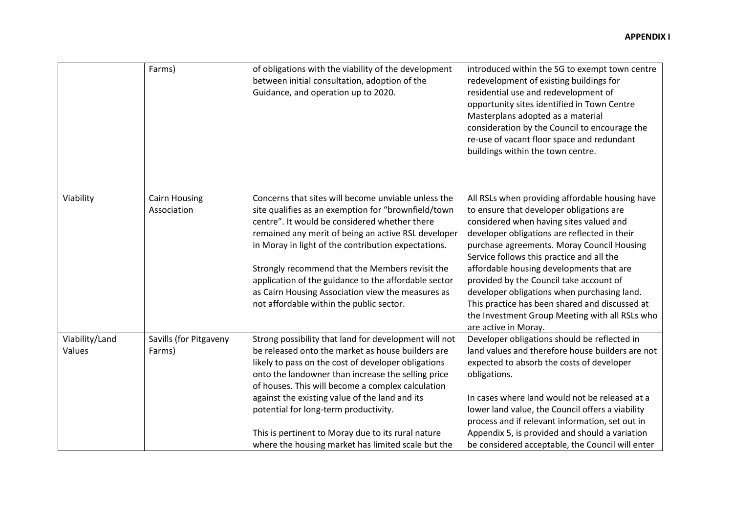|                          | Farms)                              | of obligations with the viability of the development<br>between initial consultation, adoption of the<br>Guidance, and operation up to 2020.                                                                                                                                                                                                                                                                                                                                          | introduced within the SG to exempt town centre<br>redevelopment of existing buildings for<br>residential use and redevelopment of<br>opportunity sites identified in Town Centre<br>Masterplans adopted as a material<br>consideration by the Council to encourage the<br>re-use of vacant floor space and redundant<br>buildings within the town centre.                                                                                                                                                                                           |
|--------------------------|-------------------------------------|---------------------------------------------------------------------------------------------------------------------------------------------------------------------------------------------------------------------------------------------------------------------------------------------------------------------------------------------------------------------------------------------------------------------------------------------------------------------------------------|-----------------------------------------------------------------------------------------------------------------------------------------------------------------------------------------------------------------------------------------------------------------------------------------------------------------------------------------------------------------------------------------------------------------------------------------------------------------------------------------------------------------------------------------------------|
| Viability                | <b>Cairn Housing</b><br>Association | Concerns that sites will become unviable unless the<br>site qualifies as an exemption for "brownfield/town<br>centre". It would be considered whether there<br>remained any merit of being an active RSL developer<br>in Moray in light of the contribution expectations.<br>Strongly recommend that the Members revisit the<br>application of the guidance to the affordable sector<br>as Cairn Housing Association view the measures as<br>not affordable within the public sector. | All RSLs when providing affordable housing have<br>to ensure that developer obligations are<br>considered when having sites valued and<br>developer obligations are reflected in their<br>purchase agreements. Moray Council Housing<br>Service follows this practice and all the<br>affordable housing developments that are<br>provided by the Council take account of<br>developer obligations when purchasing land.<br>This practice has been shared and discussed at<br>the Investment Group Meeting with all RSLs who<br>are active in Moray. |
| Viability/Land<br>Values | Savills (for Pitgaveny<br>Farms)    | Strong possibility that land for development will not<br>be released onto the market as house builders are<br>likely to pass on the cost of developer obligations<br>onto the landowner than increase the selling price<br>of houses. This will become a complex calculation<br>against the existing value of the land and its<br>potential for long-term productivity.<br>This is pertinent to Moray due to its rural nature<br>where the housing market has limited scale but the   | Developer obligations should be reflected in<br>land values and therefore house builders are not<br>expected to absorb the costs of developer<br>obligations.<br>In cases where land would not be released at a<br>lower land value, the Council offers a viability<br>process and if relevant information, set out in<br>Appendix 5, is provided and should a variation<br>be considered acceptable, the Council will enter                                                                                                                        |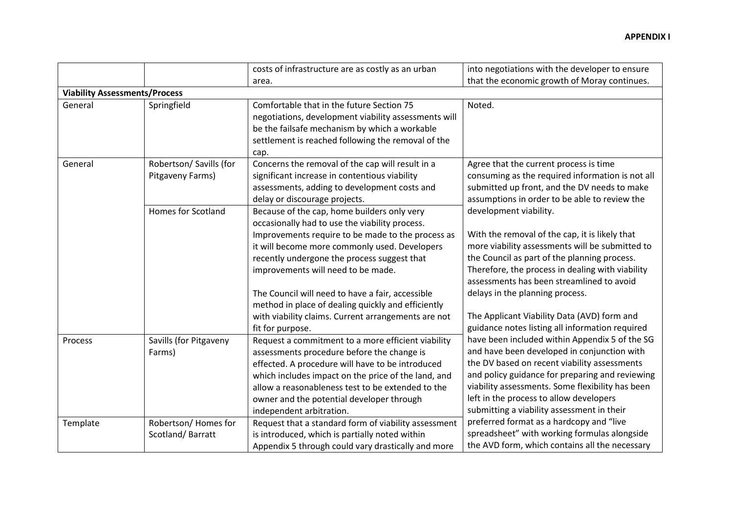|          |                                             | costs of infrastructure are as costly as an urban                                                                                                                                                                                                                                                                                                                                                                                                                             | into negotiations with the developer to ensure                                                                                                                                                                                                                                                                                                                                                                    |
|----------|---------------------------------------------|-------------------------------------------------------------------------------------------------------------------------------------------------------------------------------------------------------------------------------------------------------------------------------------------------------------------------------------------------------------------------------------------------------------------------------------------------------------------------------|-------------------------------------------------------------------------------------------------------------------------------------------------------------------------------------------------------------------------------------------------------------------------------------------------------------------------------------------------------------------------------------------------------------------|
|          |                                             | area.                                                                                                                                                                                                                                                                                                                                                                                                                                                                         | that the economic growth of Moray continues.                                                                                                                                                                                                                                                                                                                                                                      |
|          | <b>Viability Assessments/Process</b>        |                                                                                                                                                                                                                                                                                                                                                                                                                                                                               |                                                                                                                                                                                                                                                                                                                                                                                                                   |
| General  | Springfield                                 | Comfortable that in the future Section 75<br>negotiations, development viability assessments will<br>be the failsafe mechanism by which a workable<br>settlement is reached following the removal of the<br>cap.                                                                                                                                                                                                                                                              | Noted.                                                                                                                                                                                                                                                                                                                                                                                                            |
| General  | Robertson/ Savills (for<br>Pitgaveny Farms) | Concerns the removal of the cap will result in a<br>significant increase in contentious viability<br>assessments, adding to development costs and<br>delay or discourage projects.                                                                                                                                                                                                                                                                                            | Agree that the current process is time<br>consuming as the required information is not all<br>submitted up front, and the DV needs to make<br>assumptions in order to be able to review the                                                                                                                                                                                                                       |
|          | <b>Homes for Scotland</b>                   | Because of the cap, home builders only very<br>occasionally had to use the viability process.<br>Improvements require to be made to the process as<br>it will become more commonly used. Developers<br>recently undergone the process suggest that<br>improvements will need to be made.<br>The Council will need to have a fair, accessible<br>method in place of dealing quickly and efficiently<br>with viability claims. Current arrangements are not<br>fit for purpose. | development viability.<br>With the removal of the cap, it is likely that<br>more viability assessments will be submitted to<br>the Council as part of the planning process.<br>Therefore, the process in dealing with viability<br>assessments has been streamlined to avoid<br>delays in the planning process.<br>The Applicant Viability Data (AVD) form and<br>guidance notes listing all information required |
| Process  | Savills (for Pitgaveny<br>Farms)            | Request a commitment to a more efficient viability<br>assessments procedure before the change is<br>effected. A procedure will have to be introduced<br>which includes impact on the price of the land, and<br>allow a reasonableness test to be extended to the<br>owner and the potential developer through<br>independent arbitration.                                                                                                                                     | have been included within Appendix 5 of the SG<br>and have been developed in conjunction with<br>the DV based on recent viability assessments<br>and policy guidance for preparing and reviewing<br>viability assessments. Some flexibility has been<br>left in the process to allow developers<br>submitting a viability assessment in their                                                                     |
| Template | Robertson/Homes for<br>Scotland/Barratt     | Request that a standard form of viability assessment<br>is introduced, which is partially noted within<br>Appendix 5 through could vary drastically and more                                                                                                                                                                                                                                                                                                                  | preferred format as a hardcopy and "live<br>spreadsheet" with working formulas alongside<br>the AVD form, which contains all the necessary                                                                                                                                                                                                                                                                        |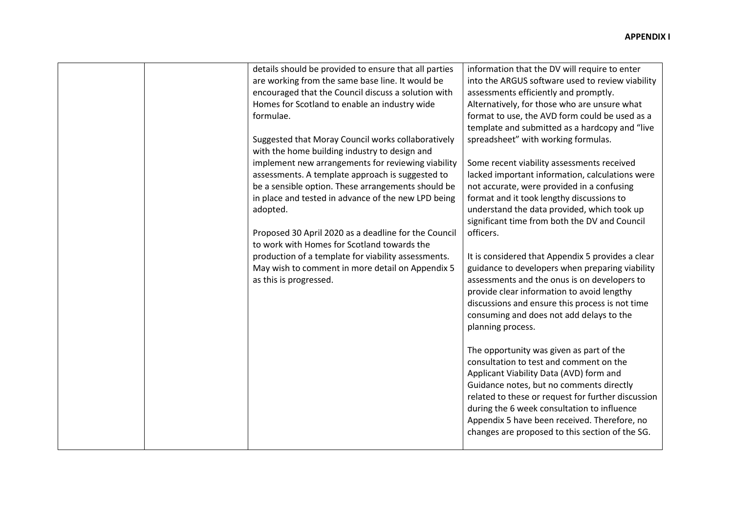|  | details should be provided to ensure that all parties<br>are working from the same base line. It would be<br>encouraged that the Council discuss a solution with<br>Homes for Scotland to enable an industry wide<br>formulae.<br>Suggested that Moray Council works collaboratively<br>with the home building industry to design and<br>implement new arrangements for reviewing viability<br>assessments. A template approach is suggested to<br>be a sensible option. These arrangements should be<br>in place and tested in advance of the new LPD being<br>adopted.<br>Proposed 30 April 2020 as a deadline for the Council<br>to work with Homes for Scotland towards the<br>production of a template for viability assessments.<br>May wish to comment in more detail on Appendix 5<br>as this is progressed. | information that the DV will require to enter<br>into the ARGUS software used to review viability<br>assessments efficiently and promptly.<br>Alternatively, for those who are unsure what<br>format to use, the AVD form could be used as a<br>template and submitted as a hardcopy and "live<br>spreadsheet" with working formulas.<br>Some recent viability assessments received<br>lacked important information, calculations were<br>not accurate, were provided in a confusing<br>format and it took lengthy discussions to<br>understand the data provided, which took up<br>significant time from both the DV and Council<br>officers.<br>It is considered that Appendix 5 provides a clear<br>guidance to developers when preparing viability<br>assessments and the onus is on developers to<br>provide clear information to avoid lengthy<br>discussions and ensure this process is not time<br>consuming and does not add delays to the<br>planning process.<br>The opportunity was given as part of the<br>consultation to test and comment on the<br>Applicant Viability Data (AVD) form and<br>Guidance notes, but no comments directly<br>related to these or request for further discussion<br>during the 6 week consultation to influence<br>Appendix 5 have been received. Therefore, no<br>changes are proposed to this section of the SG. |
|--|----------------------------------------------------------------------------------------------------------------------------------------------------------------------------------------------------------------------------------------------------------------------------------------------------------------------------------------------------------------------------------------------------------------------------------------------------------------------------------------------------------------------------------------------------------------------------------------------------------------------------------------------------------------------------------------------------------------------------------------------------------------------------------------------------------------------|----------------------------------------------------------------------------------------------------------------------------------------------------------------------------------------------------------------------------------------------------------------------------------------------------------------------------------------------------------------------------------------------------------------------------------------------------------------------------------------------------------------------------------------------------------------------------------------------------------------------------------------------------------------------------------------------------------------------------------------------------------------------------------------------------------------------------------------------------------------------------------------------------------------------------------------------------------------------------------------------------------------------------------------------------------------------------------------------------------------------------------------------------------------------------------------------------------------------------------------------------------------------------------------------------------------------------------------------------------------|
|--|----------------------------------------------------------------------------------------------------------------------------------------------------------------------------------------------------------------------------------------------------------------------------------------------------------------------------------------------------------------------------------------------------------------------------------------------------------------------------------------------------------------------------------------------------------------------------------------------------------------------------------------------------------------------------------------------------------------------------------------------------------------------------------------------------------------------|----------------------------------------------------------------------------------------------------------------------------------------------------------------------------------------------------------------------------------------------------------------------------------------------------------------------------------------------------------------------------------------------------------------------------------------------------------------------------------------------------------------------------------------------------------------------------------------------------------------------------------------------------------------------------------------------------------------------------------------------------------------------------------------------------------------------------------------------------------------------------------------------------------------------------------------------------------------------------------------------------------------------------------------------------------------------------------------------------------------------------------------------------------------------------------------------------------------------------------------------------------------------------------------------------------------------------------------------------------------|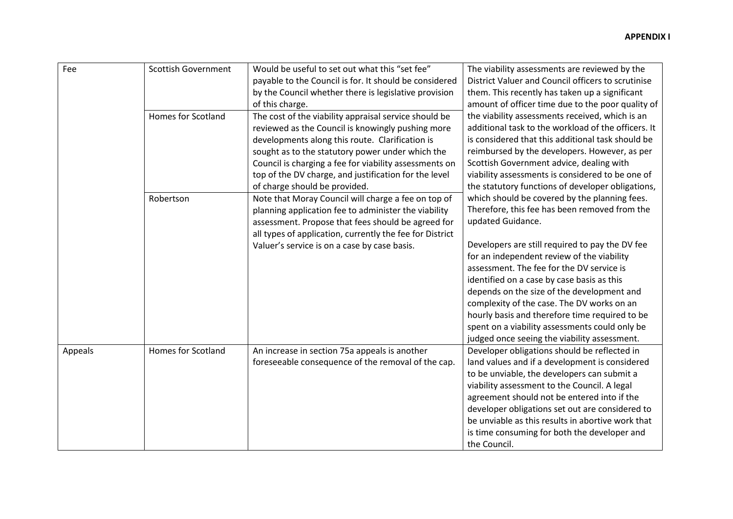|  | Fee     | <b>Scottish Government</b> | Would be useful to set out what this "set fee"           | The viability assessments are reviewed by the                                                  |
|--|---------|----------------------------|----------------------------------------------------------|------------------------------------------------------------------------------------------------|
|  |         |                            | payable to the Council is for. It should be considered   | District Valuer and Council officers to scrutinise                                             |
|  |         |                            | by the Council whether there is legislative provision    | them. This recently has taken up a significant                                                 |
|  |         |                            | of this charge.                                          | amount of officer time due to the poor quality of                                              |
|  |         | <b>Homes for Scotland</b>  | The cost of the viability appraisal service should be    | the viability assessments received, which is an                                                |
|  |         |                            | reviewed as the Council is knowingly pushing more        | additional task to the workload of the officers. It                                            |
|  |         |                            | developments along this route. Clarification is          | is considered that this additional task should be                                              |
|  |         |                            | sought as to the statutory power under which the         | reimbursed by the developers. However, as per                                                  |
|  |         |                            | Council is charging a fee for viability assessments on   | Scottish Government advice, dealing with                                                       |
|  |         |                            | top of the DV charge, and justification for the level    | viability assessments is considered to be one of                                               |
|  |         |                            | of charge should be provided.                            | the statutory functions of developer obligations,                                              |
|  |         | Robertson                  | Note that Moray Council will charge a fee on top of      | which should be covered by the planning fees.                                                  |
|  |         |                            | planning application fee to administer the viability     | Therefore, this fee has been removed from the                                                  |
|  |         |                            | assessment. Propose that fees should be agreed for       | updated Guidance.                                                                              |
|  |         |                            | all types of application, currently the fee for District |                                                                                                |
|  |         |                            | Valuer's service is on a case by case basis.             | Developers are still required to pay the DV fee                                                |
|  |         |                            |                                                          | for an independent review of the viability                                                     |
|  |         |                            |                                                          | assessment. The fee for the DV service is                                                      |
|  |         |                            |                                                          | identified on a case by case basis as this                                                     |
|  |         |                            |                                                          | depends on the size of the development and                                                     |
|  |         |                            |                                                          | complexity of the case. The DV works on an                                                     |
|  |         |                            |                                                          | hourly basis and therefore time required to be                                                 |
|  |         |                            |                                                          | spent on a viability assessments could only be<br>judged once seeing the viability assessment. |
|  | Appeals | <b>Homes for Scotland</b>  | An increase in section 75a appeals is another            | Developer obligations should be reflected in                                                   |
|  |         |                            | foreseeable consequence of the removal of the cap.       | land values and if a development is considered                                                 |
|  |         |                            |                                                          | to be unviable, the developers can submit a                                                    |
|  |         |                            |                                                          | viability assessment to the Council. A legal                                                   |
|  |         |                            |                                                          | agreement should not be entered into if the                                                    |
|  |         |                            |                                                          | developer obligations set out are considered to                                                |
|  |         |                            |                                                          | be unviable as this results in abortive work that                                              |
|  |         |                            |                                                          | is time consuming for both the developer and                                                   |
|  |         |                            |                                                          | the Council.                                                                                   |
|  |         |                            |                                                          |                                                                                                |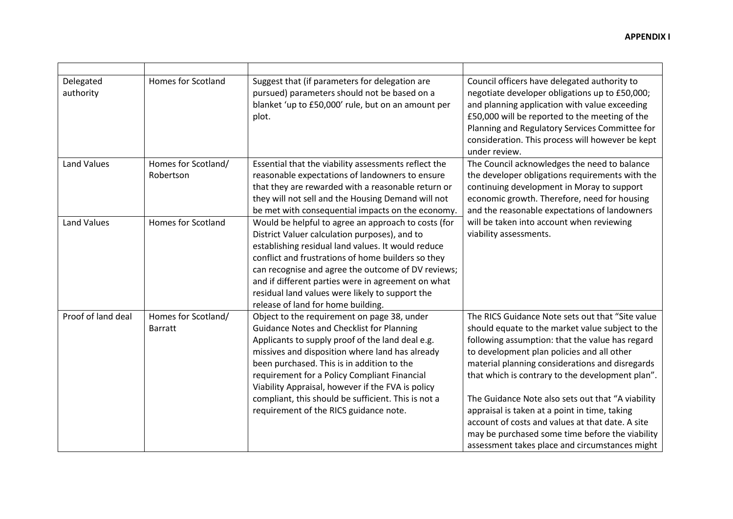| Delegated<br>authority | <b>Homes for Scotland</b>             | Suggest that (if parameters for delegation are<br>pursued) parameters should not be based on a<br>blanket 'up to £50,000' rule, but on an amount per<br>plot.                                                                                                                                                                                                                                                                                              | Council officers have delegated authority to<br>negotiate developer obligations up to £50,000;<br>and planning application with value exceeding<br>£50,000 will be reported to the meeting of the<br>Planning and Regulatory Services Committee for<br>consideration. This process will however be kept<br>under review.                                                                                                                                                                                                                                                    |
|------------------------|---------------------------------------|------------------------------------------------------------------------------------------------------------------------------------------------------------------------------------------------------------------------------------------------------------------------------------------------------------------------------------------------------------------------------------------------------------------------------------------------------------|-----------------------------------------------------------------------------------------------------------------------------------------------------------------------------------------------------------------------------------------------------------------------------------------------------------------------------------------------------------------------------------------------------------------------------------------------------------------------------------------------------------------------------------------------------------------------------|
| <b>Land Values</b>     | Homes for Scotland/<br>Robertson      | Essential that the viability assessments reflect the<br>reasonable expectations of landowners to ensure<br>that they are rewarded with a reasonable return or<br>they will not sell and the Housing Demand will not<br>be met with consequential impacts on the economy.                                                                                                                                                                                   | The Council acknowledges the need to balance<br>the developer obligations requirements with the<br>continuing development in Moray to support<br>economic growth. Therefore, need for housing<br>and the reasonable expectations of landowners                                                                                                                                                                                                                                                                                                                              |
| <b>Land Values</b>     | <b>Homes for Scotland</b>             | Would be helpful to agree an approach to costs (for<br>District Valuer calculation purposes), and to<br>establishing residual land values. It would reduce<br>conflict and frustrations of home builders so they<br>can recognise and agree the outcome of DV reviews;<br>and if different parties were in agreement on what<br>residual land values were likely to support the<br>release of land for home building.                                      | will be taken into account when reviewing<br>viability assessments.                                                                                                                                                                                                                                                                                                                                                                                                                                                                                                         |
| Proof of land deal     | Homes for Scotland/<br><b>Barratt</b> | Object to the requirement on page 38, under<br><b>Guidance Notes and Checklist for Planning</b><br>Applicants to supply proof of the land deal e.g.<br>missives and disposition where land has already<br>been purchased. This is in addition to the<br>requirement for a Policy Compliant Financial<br>Viability Appraisal, however if the FVA is policy<br>compliant, this should be sufficient. This is not a<br>requirement of the RICS guidance note. | The RICS Guidance Note sets out that "Site value<br>should equate to the market value subject to the<br>following assumption: that the value has regard<br>to development plan policies and all other<br>material planning considerations and disregards<br>that which is contrary to the development plan".<br>The Guidance Note also sets out that "A viability<br>appraisal is taken at a point in time, taking<br>account of costs and values at that date. A site<br>may be purchased some time before the viability<br>assessment takes place and circumstances might |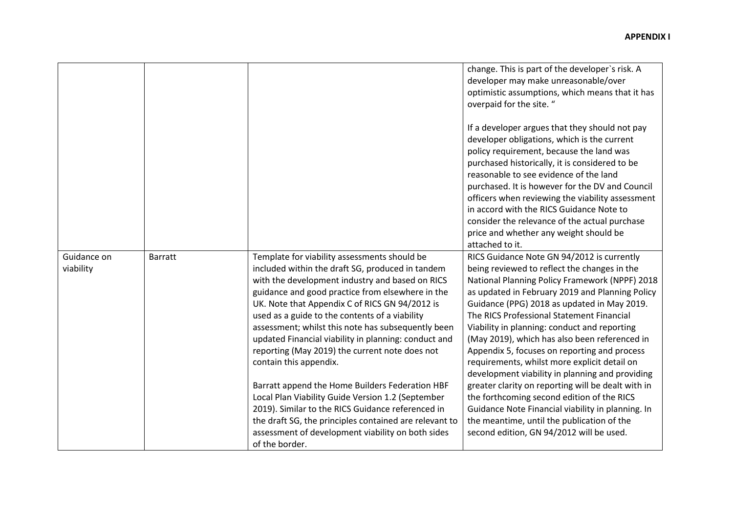|             |                |                                                                                                      | change. This is part of the developer's risk. A<br>developer may make unreasonable/over                                                                                                                                                                                                                                                                                                                                                                                                                |
|-------------|----------------|------------------------------------------------------------------------------------------------------|--------------------------------------------------------------------------------------------------------------------------------------------------------------------------------------------------------------------------------------------------------------------------------------------------------------------------------------------------------------------------------------------------------------------------------------------------------------------------------------------------------|
|             |                |                                                                                                      | optimistic assumptions, which means that it has<br>overpaid for the site. "                                                                                                                                                                                                                                                                                                                                                                                                                            |
|             |                |                                                                                                      | If a developer argues that they should not pay<br>developer obligations, which is the current<br>policy requirement, because the land was<br>purchased historically, it is considered to be<br>reasonable to see evidence of the land<br>purchased. It is however for the DV and Council<br>officers when reviewing the viability assessment<br>in accord with the RICS Guidance Note to<br>consider the relevance of the actual purchase<br>price and whether any weight should be<br>attached to it. |
| Guidance on | <b>Barratt</b> | Template for viability assessments should be                                                         | RICS Guidance Note GN 94/2012 is currently                                                                                                                                                                                                                                                                                                                                                                                                                                                             |
| viability   |                | included within the draft SG, produced in tandem                                                     | being reviewed to reflect the changes in the                                                                                                                                                                                                                                                                                                                                                                                                                                                           |
|             |                | with the development industry and based on RICS                                                      | National Planning Policy Framework (NPPF) 2018                                                                                                                                                                                                                                                                                                                                                                                                                                                         |
|             |                | guidance and good practice from elsewhere in the                                                     | as updated in February 2019 and Planning Policy                                                                                                                                                                                                                                                                                                                                                                                                                                                        |
|             |                | UK. Note that Appendix C of RICS GN 94/2012 is                                                       | Guidance (PPG) 2018 as updated in May 2019.<br>The RICS Professional Statement Financial                                                                                                                                                                                                                                                                                                                                                                                                               |
|             |                | used as a guide to the contents of a viability<br>assessment; whilst this note has subsequently been | Viability in planning: conduct and reporting                                                                                                                                                                                                                                                                                                                                                                                                                                                           |
|             |                | updated Financial viability in planning: conduct and                                                 | (May 2019), which has also been referenced in                                                                                                                                                                                                                                                                                                                                                                                                                                                          |
|             |                | reporting (May 2019) the current note does not                                                       | Appendix 5, focuses on reporting and process                                                                                                                                                                                                                                                                                                                                                                                                                                                           |
|             |                | contain this appendix.                                                                               | requirements, whilst more explicit detail on                                                                                                                                                                                                                                                                                                                                                                                                                                                           |
|             |                |                                                                                                      | development viability in planning and providing                                                                                                                                                                                                                                                                                                                                                                                                                                                        |
|             |                | Barratt append the Home Builders Federation HBF                                                      | greater clarity on reporting will be dealt with in                                                                                                                                                                                                                                                                                                                                                                                                                                                     |
|             |                | Local Plan Viability Guide Version 1.2 (September                                                    | the forthcoming second edition of the RICS                                                                                                                                                                                                                                                                                                                                                                                                                                                             |
|             |                | 2019). Similar to the RICS Guidance referenced in                                                    | Guidance Note Financial viability in planning. In                                                                                                                                                                                                                                                                                                                                                                                                                                                      |
|             |                | the draft SG, the principles contained are relevant to                                               | the meantime, until the publication of the                                                                                                                                                                                                                                                                                                                                                                                                                                                             |
|             |                | assessment of development viability on both sides                                                    | second edition, GN 94/2012 will be used.                                                                                                                                                                                                                                                                                                                                                                                                                                                               |
|             |                | of the border.                                                                                       |                                                                                                                                                                                                                                                                                                                                                                                                                                                                                                        |